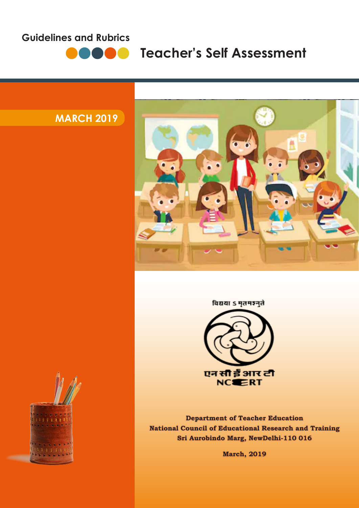# **Guidelines and Rubrics**



**Teacher's Self Assessment** 

# **MARCH 2019**



# विद्यया ऽ मृतमञ्जुते



**Department of Teacher Education National Council of Educational Research and Training Sri Aurobindo Marg, NewDelhi-110 016**

**March, 2019**

**1** Guidelines and Rubrics | **Teacher's Self Assessment**

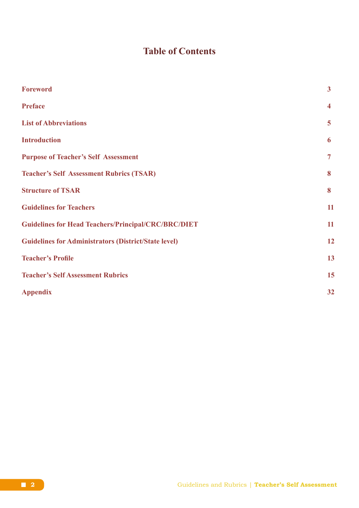# **Table of Contents**

| <b>Foreword</b>                                             | $\overline{\mathbf{3}}$ |
|-------------------------------------------------------------|-------------------------|
| <b>Preface</b>                                              | $\overline{\mathbf{4}}$ |
| <b>List of Abbreviations</b>                                | 5                       |
| <b>Introduction</b>                                         | 6                       |
| <b>Purpose of Teacher's Self Assessment</b>                 | $\overline{7}$          |
| <b>Teacher's Self Assessment Rubrics (TSAR)</b>             | 8                       |
| <b>Structure of TSAR</b>                                    | 8                       |
| <b>Guidelines for Teachers</b>                              | 11                      |
| <b>Guidelines for Head Teachers/Principal/CRC/BRC/DIET</b>  | 11                      |
| <b>Guidelines for Administrators (District/State level)</b> | 12                      |
| <b>Teacher's Profile</b>                                    | 13                      |
| <b>Teacher's Self Assessment Rubrics</b>                    | 15                      |
| <b>Appendix</b>                                             | 32                      |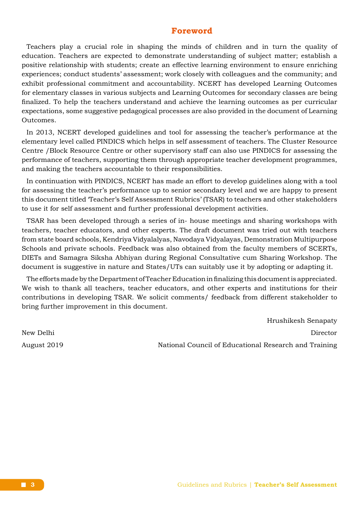### **Foreword**

Teachers play a crucial role in shaping the minds of children and in turn the quality of education. Teachers are expected to demonstrate understanding of subject matter; establish a positive relationship with students; create an effective learning environment to ensure enriching experiences; conduct students' assessment; work closely with colleagues and the community; and exhibit professional commitment and accountability. NCERT has developed Learning Outcomes for elementary classes in various subjects and Learning Outcomes for secondary classes are being finalized. To help the teachers understand and achieve the learning outcomes as per curricular expectations, some suggestive pedagogical processes are also provided in the document of Learning Outcomes.

In 2013, NCERT developed guidelines and tool for assessing the teacher's performance at the elementary level called PINDICS which helps in self assessment of teachers. The Cluster Resource Centre /Block Resource Centre or other supervisory staff can also use PINDICS for assessing the performance of teachers, supporting them through appropriate teacher development programmes, and making the teachers accountable to their responsibilities.

In continuation with PINDICS, NCERT has made an effort to develop guidelines along with a tool for assessing the teacher's performance up to senior secondary level and we are happy to present this document titled 'Teacher's Self Assessment Rubrics' (TSAR) to teachers and other stakeholders to use it for self assessment and further professional development activities.

TSAR has been developed through a series of in- house meetings and sharing workshops with teachers, teacher educators, and other experts. The draft document was tried out with teachers from state board schools, Kendriya Vidyalalyas, Navodaya Vidyalayas, Demonstration Multipurpose Schools and private schools. Feedback was also obtained from the faculty members of SCERTs, DIETs and Samagra Siksha Abhiyan during Regional Consultative cum Sharing Workshop. The document is suggestive in nature and States/UTs can suitably use it by adopting or adapting it.

The efforts made by the Department of Teacher Education in finalizing this document is appreciated. We wish to thank all teachers, teacher educators, and other experts and institutions for their contributions in developing TSAR. We solicit comments/ feedback from different stakeholder to bring further improvement in this document.

Hrushikesh Senapaty New Delhi Director August 2019 National Council of Educational Research and Training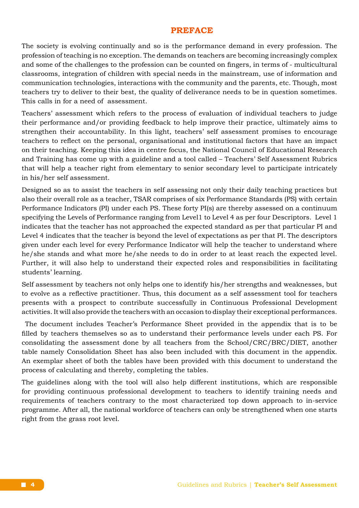#### **PREFACE**

The society is evolving continually and so is the performance demand in every profession. The profession of teaching is no exception. The demands on teachers are becoming increasingly complex and some of the challenges to the profession can be counted on fingers, in terms of - multicultural classrooms, integration of children with special needs in the mainstream, use of information and communication technologies, interactions with the community and the parents, etc. Though, most teachers try to deliver to their best, the quality of deliverance needs to be in question sometimes. This calls in for a need of assessment.

Teachers' assessment which refers to the process of evaluation of individual teachers to judge their performance and/or providing feedback to help improve their practice, ultimately aims to strengthen their accountability. In this light, teachers' self assessment promises to encourage teachers to reflect on the personal, organisational and institutional factors that have an impact on their teaching. Keeping this idea in centre focus, the National Council of Educational Research and Training has come up with a guideline and a tool called – Teachers' Self Assessment Rubrics that will help a teacher right from elementary to senior secondary level to participate intricately in his/her self assessment.

Designed so as to assist the teachers in self assessing not only their daily teaching practices but also their overall role as a teacher, TSAR comprises of six Performance Standards (PS) with certain Performance Indicators (PI) under each PS. These forty PI(s) are thereby assessed on a continuum specifying the Levels of Performance ranging from Level1 to Level 4 as per four Descriptors. Level 1 indicates that the teacher has not approached the expected standard as per that particular PI and Level 4 indicates that the teacher is beyond the level of expectations as per that PI. The descriptors given under each level for every Performance Indicator will help the teacher to understand where he/she stands and what more he/she needs to do in order to at least reach the expected level. Further, it will also help to understand their expected roles and responsibilities in facilitating students' learning.

Self assessment by teachers not only helps one to identify his/her strengths and weaknesses, but to evolve as a reflective practitioner. Thus, this document as a self assessment tool for teachers presents with a prospect to contribute successfully in Continuous Professional Development activities. It will also provide the teachers with an occasion to display their exceptional performances.

 The document includes Teacher's Performance Sheet provided in the appendix that is to be filled by teachers themselves so as to understand their performance levels under each PS. For consolidating the assessment done by all teachers from the School/CRC/BRC/DIET, another table namely Consolidation Sheet has also been included with this document in the appendix. An exemplar sheet of both the tables have been provided with this document to understand the process of calculating and thereby, completing the tables.

The guidelines along with the tool will also help different institutions, which are responsible for providing continuous professional development to teachers to identify training needs and requirements of teachers contrary to the most characterized top down approach to in-service programme. After all, the national workforce of teachers can only be strengthened when one starts right from the grass root level.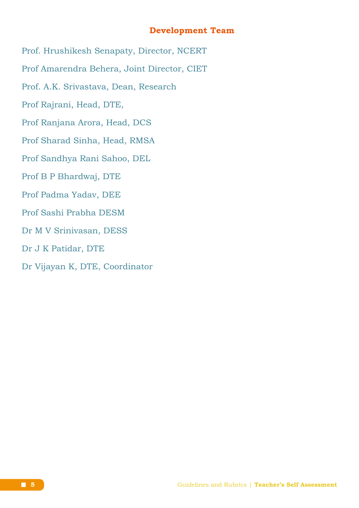# **Development Team**

- Prof. Hrushikesh Senapaty, Director, NCERT
- Prof Amarendra Behera, Joint Director, CIET
- Prof. A.K. Srivastava, Dean, Research
- Prof Rajrani, Head, DTE,
- Prof Ranjana Arora, Head, DCS
- Prof Sharad Sinha, Head, RMSA
- Prof Sandhya Rani Sahoo, DEL
- Prof B P Bhardwaj, DTE
- Prof Padma Yadav, DEE
- Prof Sashi Prabha DESM
- Dr M V Srinivasan, DESS
- Dr J K Patidar, DTE
- Dr Vijayan K, DTE, Coordinator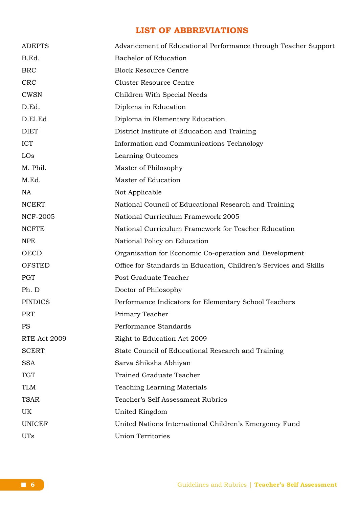# **LIST OF ABBREVIATIONS**

| <b>ADEPTS</b>       | Advancement of Educational Performance through Teacher Support    |
|---------------------|-------------------------------------------------------------------|
| B.Ed.               | <b>Bachelor of Education</b>                                      |
| <b>BRC</b>          | <b>Block Resource Centre</b>                                      |
| <b>CRC</b>          | <b>Cluster Resource Centre</b>                                    |
| <b>CWSN</b>         | Children With Special Needs                                       |
| D.Ed.               | Diploma in Education                                              |
| D.El.Ed             | Diploma in Elementary Education                                   |
| <b>DIET</b>         | District Institute of Education and Training                      |
| <b>ICT</b>          | Information and Communications Technology                         |
| LOs                 | Learning Outcomes                                                 |
| M. Phil.            | Master of Philosophy                                              |
| M.Ed.               | Master of Education                                               |
| <b>NA</b>           | Not Applicable                                                    |
| <b>NCERT</b>        | National Council of Educational Research and Training             |
| <b>NCF-2005</b>     | National Curriculum Framework 2005                                |
| <b>NCFTE</b>        | National Curriculum Framework for Teacher Education               |
| <b>NPE</b>          | National Policy on Education                                      |
| OECD                | Organisation for Economic Co-operation and Development            |
| <b>OFSTED</b>       | Office for Standards in Education, Children's Services and Skills |
| <b>PGT</b>          | Post Graduate Teacher                                             |
| Ph. D               | Doctor of Philosophy                                              |
| <b>PINDICS</b>      | Performance Indicators for Elementary School Teachers             |
| <b>PRT</b>          | Primary Teacher                                                   |
| <b>PS</b>           | Performance Standards                                             |
| <b>RTE Act 2009</b> | Right to Education Act 2009                                       |
| <b>SCERT</b>        | State Council of Educational Research and Training                |
| <b>SSA</b>          | Sarva Shiksha Abhiyan                                             |
| <b>TGT</b>          | <b>Trained Graduate Teacher</b>                                   |
| <b>TLM</b>          | Teaching Learning Materials                                       |
| <b>TSAR</b>         | Teacher's Self Assessment Rubrics                                 |
| UK                  | United Kingdom                                                    |
| <b>UNICEF</b>       | United Nations International Children's Emergency Fund            |
| <b>UTs</b>          | <b>Union Territories</b>                                          |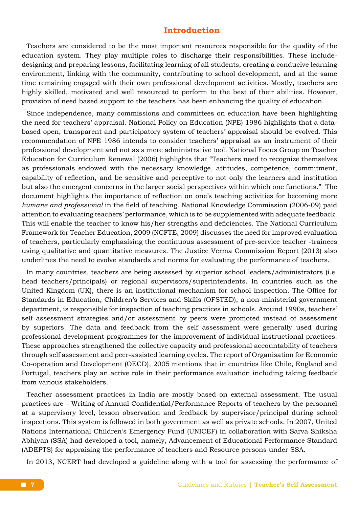# **Introduction**

Teachers are considered to be the most important resources responsible for the quality of the education system. They play multiple roles to discharge their responsibilities. These includedesigning and preparing lessons, facilitating learning of all students, creating a conducive learning environment, linking with the community, contributing to school development, and at the same time remaining engaged with their own professional development activities. Mostly, teachers are highly skilled, motivated and well resourced to perform to the best of their abilities. However, provision of need based support to the teachers has been enhancing the quality of education.

Since independence, many commissions and committees on education have been highlighting the need for teachers' appraisal. National Policy on Education (NPE) 1986 highlights that a databased open, transparent and participatory system of teachers' appraisal should be evolved. This recommendation of NPE 1986 intends to consider teachers' appraisal as an instrument of their professional development and not as a mere administrative tool. National Focus Group on Teacher Education for Curriculum Renewal (2006) highlights that "Teachers need to recognize themselves as professionals endowed with the necessary knowledge, attitudes, competence, commitment, capability of reflection, and be sensitive and perceptive to not only the learners and institution but also the emergent concerns in the larger social perspectives within which one functions." The document highlights the importance of reflection on one's teaching activities for becoming more *humane and professional* in the field of teaching. National Knowledge Commission (2006-09) paid attention to evaluating teachers' performance, which is to be supplemented with adequate feedback. This will enable the teacher to know his/her strengths and deficiencies. The National Curriculum Framework for Teacher Education, 2009 (NCFTE, 2009) discusses the need for improved evaluation of teachers, particularly emphasising the continuous assessment of pre-service teacher -trainees using qualitative and quantitative measures. The Justice Verma Commission Report (2013) also underlines the need to evolve standards and norms for evaluating the performance of teachers.

In many countries, teachers are being assessed by superior school leaders/administrators (i.e. head teachers/principals) or regional supervisors/superintendents. In countries such as the United Kingdom (UK), there is an institutional mechanism for school inspection. The Office for Standards in Education, Children's Services and Skills (OFSTED), a non-ministerial government department, is responsible for inspection of teaching practices in schools. Around 1990s, teachers' self assessment strategies and/or assessment by peers were promoted instead of assessment by superiors. The data and feedback from the self assessment were generally used during professional development programmes for the improvement of individual instructional practices. These approaches strengthened the collective capacity and professional accountability of teachers through self assessment and peer-assisted learning cycles. The report of Organisation for Economic Co-operation and Development (OECD), 2005 mentions that in countries like Chile, England and Portugal, teachers play an active role in their performance evaluation including taking feedback from various stakeholders.

Teacher assessment practices in India are mostly based on external assessment. The usual practices are – Writing of Annual Confidential/Performance Reports of teachers by the personnel at a supervisory level, lesson observation and feedback by supervisor/principal during school inspections. This system is followed in both government as well as private schools. In 2007, United Nations International Children's Emergency Fund (UNICEF) in collaboration with Sarva Shiksha Abhiyan (SSA) had developed a tool, namely, Advancement of Educational Performance Standard (ADEPTS) for appraising the performance of teachers and Resource persons under SSA.

In 2013, NCERT had developed a guideline along with a tool for assessing the performance of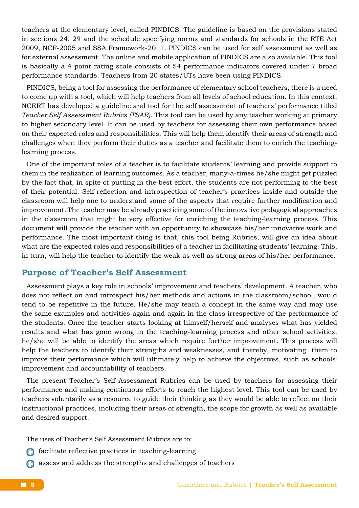teachers at the elementary level, called PINDICS. The guideline is based on the provisions stated in sections 24, 29 and the schedule specifying norms and standards for schools in the RTE Act 2009, NCF-2005 and SSA Framework-2011. PINDICS can be used for self assessment as well as for external assessment. The online and mobile application of PINDICS are also available. This tool is basically a 4 point rating scale consists of 54 performance indicators covered under 7 broad performance standards. Teachers from 20 states/UTs have been using PINDICS.

PINDICS, being a tool for assessing the performance of elementary school teachers, there is a need to come up with a tool, which will help teachers from all levels of school education. In this context, NCERT has developed a guideline and tool for the self assessment of teachers' performance titled *Teacher Self Assessment Rubrics (TSAR)*. This tool can be used by any teacher working at primary to higher secondary level. It can be used by teachers for assessing their own performance based on their expected roles and responsibilities. This will help them identify their areas of strength and challenges when they perform their duties as a teacher and facilitate them to enrich the teachinglearning process.

One of the important roles of a teacher is to facilitate students' learning and provide support to them in the realization of learning outcomes. As a teacher, many-a-times he/she might get puzzled by the fact that, in spite of putting in the best effort, the students are not performing to the best of their potential. Self-reflection and introspection of teacher's practices inside and outside the classroom will help one to understand some of the aspects that require further modification and improvement. The teacher may be already practicing some of the innovative pedagogical approaches in the classroom that might be very effective for enriching the teaching-learning process. This document will provide the teacher with an opportunity to showcase his/her innovative work and performance. The most important thing is that, this tool being Rubrics, will give an idea about what are the expected roles and responsibilities of a teacher in facilitating students' learning. This, in turn, will help the teacher to identify the weak as well as strong areas of his/her performance.

## **Purpose of Teacher's Self Assessment**

Assessment plays a key role in schools' improvement and teachers' development. A teacher, who does not reflect on and introspect his/her methods and actions in the classroom/school, would tend to be repetitive in the future. He/she may teach a concept in the same way and may use the same examples and activities again and again in the class irrespective of the performance of the students. Once the teacher starts looking at himself/herself and analyses what has yielded results and what has gone wrong in the teaching-learning process and other school activities, he/she will be able to identify the areas which require further improvement. This process will help the teachers to identify their strengths and weaknesses, and thereby, motivating them to improve their performance which will ultimately help to achieve the objectives, such as schools' improvement and accountability of teachers.

The present Teacher's Self Assessment Rubrics can be used by teachers for assessing their performance and making continuous efforts to reach the highest level. This tool can be used by teachers voluntarily as a resource to guide their thinking as they would be able to reflect on their instructional practices, including their areas of strength, the scope for growth as well as available and desired support.

The uses of Teacher's Self Assessment Rubrics are to:

- $\odot$  facilitate reflective practices in teaching-learning
- assess and address the strengths and challenges of teachers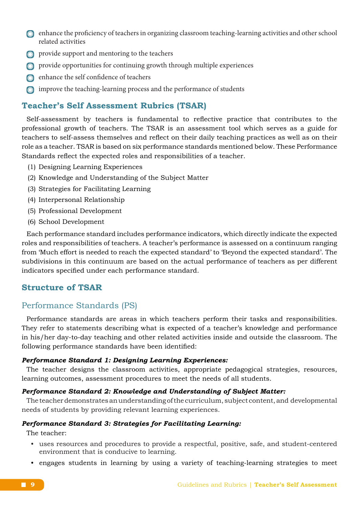- enhance the proficiency of teachers in organizing classroom teaching-learning activities and other school related activities
- $\odot$  provide support and mentoring to the teachers
- provide opportunities for continuing growth through multiple experiences
- enhance the self confidence of teachers
- improve the teaching-learning process and the performance of students

#### **Teacher's Self Assessment Rubrics (TSAR)**

Self-assessment by teachers is fundamental to reflective practice that contributes to the professional growth of teachers. The TSAR is an assessment tool which serves as a guide for teachers to self-assess themselves and reflect on their daily teaching practices as well as on their role as a teacher. TSAR is based on six performance standards mentioned below. These Performance Standards reflect the expected roles and responsibilities of a teacher.

- (1) Designing Learning Experiences
- (2) Knowledge and Understanding of the Subject Matter
- (3) Strategies for Facilitating Learning
- (4) Interpersonal Relationship
- (5) Professional Development
- (6) School Development

Each performance standard includes performance indicators, which directly indicate the expected roles and responsibilities of teachers. A teacher's performance is assessed on a continuum ranging from 'Much effort is needed to reach the expected standard' to 'Beyond the expected standard'. The subdivisions in this continuum are based on the actual performance of teachers as per different indicators specified under each performance standard.

# **Structure of TSAR**

#### Performance Standards (PS)

Performance standards are areas in which teachers perform their tasks and responsibilities. They refer to statements describing what is expected of a teacher's knowledge and performance in his/her day-to-day teaching and other related activities inside and outside the classroom. The following performance standards have been identified:

#### *Performance Standard 1: Designing Learning Experiences:*

The teacher designs the classroom activities, appropriate pedagogical strategies, resources, learning outcomes, assessment procedures to meet the needs of all students.

#### *Performance Standard 2: Knowledge and Understanding of Subject Matter:*

The teacher demonstrates an understanding of the curriculum, subject content, and developmental needs of students by providing relevant learning experiences.

#### *Performance Standard 3: Strategies for Facilitating Learning:*

The teacher:

- uses resources and procedures to provide a respectful, positive, safe, and student-centered environment that is conducive to learning.
- engages students in learning by using a variety of teaching-learning strategies to meet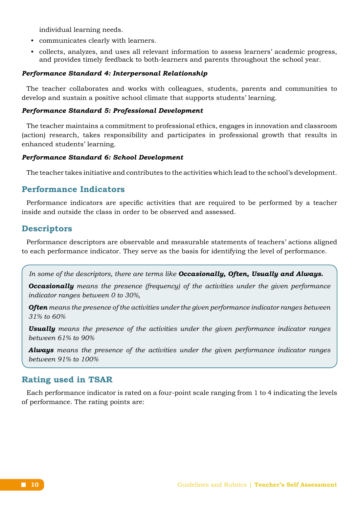individual learning needs.

- communicates clearly with learners.
- collects, analyzes, and uses all relevant information to assess learners' academic progress, and provides timely feedback to both-learners and parents throughout the school year.

#### *Performance Standard 4: Interpersonal Relationship*

The teacher collaborates and works with colleagues, students, parents and communities to develop and sustain a positive school climate that supports students' learning.

#### *Performance Standard 5: Professional Development*

The teacher maintains a commitment to professional ethics, engages in innovation and classroom (action) research, takes responsibility and participates in professional growth that results in enhanced students' learning.

#### *Performance Standard 6: School Development*

The teacher takes initiative and contributes to the activities which lead to the school's development.

### **Performance Indicators**

Performance indicators are specific activities that are required to be performed by a teacher inside and outside the class in order to be observed and assessed.

#### **Descriptors**

Performance descriptors are observable and measurable statements of teachers' actions aligned to each performance indicator. They serve as the basis for identifying the level of performance.

*In some of the descriptors, there are terms like Occasionally, Often, Usually and Always.* 

*Occasionally means the presence (frequency) of the activities under the given performance indicator ranges between 0 to 30%,*

*Often means the presence of the activities under the given performance indicator ranges between 31% to 60%*

*Usually means the presence of the activities under the given performance indicator ranges between 61% to 90%*

*Always means the presence of the activities under the given performance indicator ranges between 91% to 100%*

#### **Rating used in TSAR**

Each performance indicator is rated on a four-point scale ranging from 1 to 4 indicating the levels of performance. The rating points are: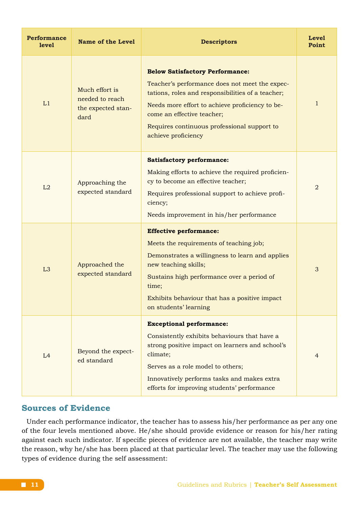| <b>Performance</b><br>level | <b>Name of the Level</b>                                        | <b>Descriptors</b>                                                                                                                                                                                                                                                                                   | Level<br>Point |
|-----------------------------|-----------------------------------------------------------------|------------------------------------------------------------------------------------------------------------------------------------------------------------------------------------------------------------------------------------------------------------------------------------------------------|----------------|
| L1                          | Much effort is<br>needed to reach<br>the expected stan-<br>dard | <b>Below Satisfactory Performance:</b><br>Teacher's performance does not meet the expec-<br>tations, roles and responsibilities of a teacher;<br>Needs more effort to achieve proficiency to be-<br>come an effective teacher;<br>Requires continuous professional support to<br>achieve proficiency | 1              |
| L2                          | Approaching the<br>expected standard                            | <b>Satisfactory performance:</b><br>Making efforts to achieve the required proficien-<br>cy to become an effective teacher;<br>Requires professional support to achieve profi-<br>ciency;<br>Needs improvement in his/her performance                                                                | $\overline{2}$ |
| L <sub>3</sub>              | Approached the<br>expected standard                             | <b>Effective performance:</b><br>Meets the requirements of teaching job;<br>Demonstrates a willingness to learn and applies<br>new teaching skills;<br>Sustains high performance over a period of<br>time;<br>Exhibits behaviour that has a positive impact<br>on students' learning                 | 3              |
| L4                          | Beyond the expect-<br>ed standard                               | <b>Exceptional performance:</b><br>Consistently exhibits behaviours that have a<br>strong positive impact on learners and school's<br>climate;<br>Serves as a role model to others;<br>Innovatively performs tasks and makes extra<br>efforts for improving students' performance                    | $\overline{4}$ |

## **Sources of Evidence**

Under each performance indicator, the teacher has to assess his/her performance as per any one of the four levels mentioned above. He/she should provide evidence or reason for his/her rating against each such indicator. If specific pieces of evidence are not available, the teacher may write the reason, why he/she has been placed at that particular level. The teacher may use the following types of evidence during the self assessment: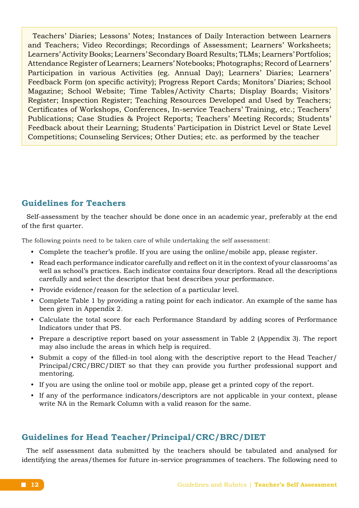Teachers' Diaries; Lessons' Notes; Instances of Daily Interaction between Learners and Teachers; Video Recordings; Recordings of Assessment; Learners' Worksheets; Learners' Activity Books; Learners' Secondary Board Results; TLMs; Learners' Portfolios; Attendance Register of Learners; Learners' Notebooks; Photographs; Record of Learners' Participation in various Activities (eg. Annual Day); Learners' Diaries; Learners' Feedback Form (on specific activity); Progress Report Cards; Monitors' Diaries; School Magazine; School Website; Time Tables/Activity Charts; Display Boards; Visitors' Register; Inspection Register; Teaching Resources Developed and Used by Teachers; Certificates of Workshops, Conferences, In-service Teachers' Training, etc.; Teachers' Publications; Case Studies & Project Reports; Teachers' Meeting Records; Students' Feedback about their Learning; Students' Participation in District Level or State Level Competitions; Counseling Services; Other Duties; etc. as performed by the teacher

# **Guidelines for Teachers**

Self-assessment by the teacher should be done once in an academic year, preferably at the end of the first quarter.

The following points need to be taken care of while undertaking the self assessment:

- Complete the teacher's profile. If you are using the online/mobile app, please register.
- Read each performance indicator carefully and reflect on it in the context of your classrooms' as well as school's practices. Each indicator contains four descriptors. Read all the descriptions carefully and select the descriptor that best describes your performance.
- Provide evidence/reason for the selection of a particular level.
- Complete Table 1 by providing a rating point for each indicator. An example of the same has been given in Appendix 2.
- Calculate the total score for each Performance Standard by adding scores of Performance Indicators under that PS.
- Prepare a descriptive report based on your assessment in Table 2 (Appendix 3). The report may also include the areas in which help is required.
- Submit a copy of the filled-in tool along with the descriptive report to the Head Teacher/ Principal/CRC/BRC/DIET so that they can provide you further professional support and mentoring.
- If you are using the online tool or mobile app, please get a printed copy of the report.
- If any of the performance indicators/descriptors are not applicable in your context, please write NA in the Remark Column with a valid reason for the same.

# **Guidelines for Head Teacher/Principal/CRC/BRC/DIET**

The self assessment data submitted by the teachers should be tabulated and analysed for identifying the areas/themes for future in-service programmes of teachers. The following need to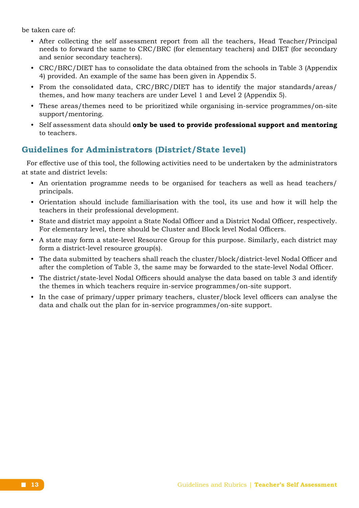be taken care of:

- After collecting the self assessment report from all the teachers, Head Teacher/Principal needs to forward the same to CRC/BRC (for elementary teachers) and DIET (for secondary and senior secondary teachers).
- CRC/BRC/DIET has to consolidate the data obtained from the schools in Table 3 (Appendix 4) provided. An example of the same has been given in Appendix 5.
- From the consolidated data, CRC/BRC/DIET has to identify the major standards/areas/ themes, and how many teachers are under Level 1 and Level 2 (Appendix 5).
- These areas/themes need to be prioritized while organising in-service programmes/on-site support/mentoring.
- Self assessment data should **only be used to provide professional support and mentoring** to teachers.

# **Guidelines for Administrators (District/State level)**

For effective use of this tool, the following activities need to be undertaken by the administrators at state and district levels:

- An orientation programme needs to be organised for teachers as well as head teachers/ principals.
- Orientation should include familiarisation with the tool, its use and how it will help the teachers in their professional development.
- State and district may appoint a State Nodal Officer and a District Nodal Officer, respectively. For elementary level, there should be Cluster and Block level Nodal Officers.
- A state may form a state-level Resource Group for this purpose. Similarly, each district may form a district-level resource group(s).
- The data submitted by teachers shall reach the cluster/block/district-level Nodal Officer and after the completion of Table 3, the same may be forwarded to the state-level Nodal Officer.
- The district/state-level Nodal Officers should analyse the data based on table 3 and identify the themes in which teachers require in-service programmes/on-site support.
- In the case of primary/upper primary teachers, cluster/block level officers can analyse the data and chalk out the plan for in-service programmes/on-site support.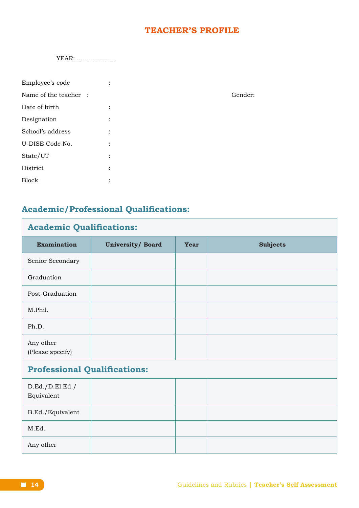# **TEACHER'S PROFILE**

|  | YEAR: |
|--|-------|
|--|-------|

| Employee's code       | $\ddot{\cdot}$                    |         |
|-----------------------|-----------------------------------|---------|
| Name of the teacher : |                                   | Gender: |
| Date of birth         | $\ddot{\cdot}$                    |         |
| Designation           | $\ddot{\cdot}$                    |         |
| School's address      | $\ddot{\cdot}$                    |         |
| U-DISE Code No.       | $\ddot{\cdot}$                    |         |
| State/UT              | $\ddot{\cdot}$                    |         |
| District              | $\ddot{\cdot}$                    |         |
| <b>Block</b>          | $\bullet$<br>$\ddot{\phantom{0}}$ |         |
|                       |                                   |         |

**Academic/Professional Qualifications:**

| <b>Academic Qualifications:</b>     |                          |             |                 |  |  |  |  |  |
|-------------------------------------|--------------------------|-------------|-----------------|--|--|--|--|--|
| <b>Examination</b>                  | <b>University/ Board</b> | <b>Year</b> | <b>Subjects</b> |  |  |  |  |  |
| Senior Secondary                    |                          |             |                 |  |  |  |  |  |
| Graduation                          |                          |             |                 |  |  |  |  |  |
| Post-Graduation                     |                          |             |                 |  |  |  |  |  |
| M.Phil.                             |                          |             |                 |  |  |  |  |  |
| Ph.D.                               |                          |             |                 |  |  |  |  |  |
| Any other<br>(Please specify)       |                          |             |                 |  |  |  |  |  |
| <b>Professional Qualifications:</b> |                          |             |                 |  |  |  |  |  |
| D.Ed./D.El.Ed./<br>Equivalent       |                          |             |                 |  |  |  |  |  |
| B.Ed./Equivalent                    |                          |             |                 |  |  |  |  |  |
| M.Ed.                               |                          |             |                 |  |  |  |  |  |
| Any other                           |                          |             |                 |  |  |  |  |  |

٦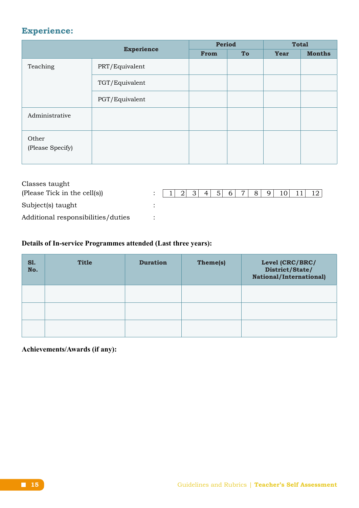# **Experience:**

| <b>Experience</b>         |                | Period |    | <b>Total</b> |               |  |
|---------------------------|----------------|--------|----|--------------|---------------|--|
|                           |                | From   | To | Year         | <b>Months</b> |  |
| Teaching                  | PRT/Equivalent |        |    |              |               |  |
|                           | TGT/Equivalent |        |    |              |               |  |
|                           | PGT/Equivalent |        |    |              |               |  |
| Administrative            |                |        |    |              |               |  |
| Other<br>(Please Specify) |                |        |    |              |               |  |

| Classes taught                     |          |     |                                  |                |                |                 |      |  |
|------------------------------------|----------|-----|----------------------------------|----------------|----------------|-----------------|------|--|
| (Please Tick in the cell(s))       | :  1 2 3 | 4 5 | 7 <sup>1</sup><br>6 <sup>1</sup> | 8 <sup>1</sup> | $\overline{q}$ | 10 <sup>1</sup> | -111 |  |
| Subject(s) taught                  |          |     |                                  |                |                |                 |      |  |
| Additional responsibilities/duties |          |     |                                  |                |                |                 |      |  |

# **Details of In-service Programmes attended (Last three years):**

| <b>S1.</b><br>No. | <b>Title</b> | <b>Duration</b> | Theme(s) | Level (CRC/BRC/<br>District/State/<br><b>National/International)</b> |
|-------------------|--------------|-----------------|----------|----------------------------------------------------------------------|
|                   |              |                 |          |                                                                      |
|                   |              |                 |          |                                                                      |
|                   |              |                 |          |                                                                      |

**Achievements/Awards (if any):**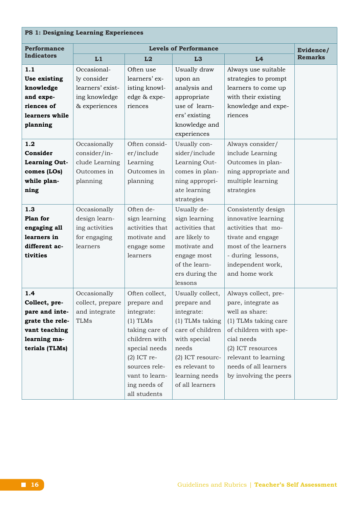# **PS 1: Designing Learning Experiences**

| <b>Performance</b>                                                                                           |                                                                                                  | Evidence/                                                                                                                                                                                         |                                                                                                                                                                                          |                                                                                                                                                                                                                             |                |
|--------------------------------------------------------------------------------------------------------------|--------------------------------------------------------------------------------------------------|---------------------------------------------------------------------------------------------------------------------------------------------------------------------------------------------------|------------------------------------------------------------------------------------------------------------------------------------------------------------------------------------------|-----------------------------------------------------------------------------------------------------------------------------------------------------------------------------------------------------------------------------|----------------|
| <b>Indicators</b>                                                                                            | L1                                                                                               | L2                                                                                                                                                                                                | L3                                                                                                                                                                                       | L <sub>4</sub>                                                                                                                                                                                                              | <b>Remarks</b> |
| 1.1<br>Use existing<br>knowledge<br>and expe-<br>riences of<br>learners while<br>planning<br>1.2             | Occasional-<br>ly consider<br>learners' exist-<br>ing knowledge<br>& experiences<br>Occasionally | Often use<br>learners' ex-<br>isting knowl-<br>edge & expe-<br>riences<br>Often consid-                                                                                                           | Usually draw<br>upon an<br>analysis and<br>appropriate<br>use of learn-<br>ers' existing<br>knowledge and<br>experiences<br>Usually con-                                                 | Always use suitable<br>strategies to prompt<br>learners to come up<br>with their existing<br>knowledge and expe-<br>riences<br>Always consider/                                                                             |                |
| Consider<br><b>Learning Out-</b><br>comes (LOs)<br>while plan-<br>ning                                       | consider/in-<br>clude Learning<br>Outcomes in<br>planning                                        | er/include<br>Learning<br>Outcomes in<br>planning                                                                                                                                                 | sider/include<br>Learning Out-<br>comes in plan-<br>ning appropri-<br>ate learning<br>strategies                                                                                         | include Learning<br>Outcomes in plan-<br>ning appropriate and<br>multiple learning<br>strategies                                                                                                                            |                |
| 1.3<br>Plan for<br>engaging all<br>learners in<br>different ac-<br>tivities                                  | Occasionally<br>design learn-<br>ing activities<br>for engaging<br>learners                      | Often de-<br>sign learning<br>activities that<br>motivate and<br>engage some<br>learners                                                                                                          | Usually de-<br>sign learning<br>activities that<br>are likely to<br>motivate and<br>engage most<br>of the learn-<br>ers during the<br>lessons                                            | Consistently design<br>innovative learning<br>activities that mo-<br>tivate and engage<br>most of the learners<br>- during lessons,<br>independent work,<br>and home work                                                   |                |
| 1.4<br>Collect, pre-<br>pare and inte-<br>grate the rele-<br>vant teaching<br>learning ma-<br>terials (TLMs) | Occasionally<br>collect, prepare<br>and integrate<br><b>TLMs</b>                                 | Often collect,<br>prepare and<br>integrate:<br>$(1)$ TLMs<br>taking care of<br>children with<br>special needs<br>$(2)$ ICT re-<br>sources rele-<br>vant to learn-<br>ing needs of<br>all students | Usually collect,<br>prepare and<br>integrate:<br>(1) TLMs taking<br>care of children<br>with special<br>needs<br>(2) ICT resourc-<br>es relevant to<br>learning needs<br>of all learners | Always collect, pre-<br>pare, integrate as<br>well as share:<br>(1) TLMs taking care<br>of children with spe-<br>cial needs<br>(2) ICT resources<br>relevant to learning<br>needs of all learners<br>by involving the peers |                |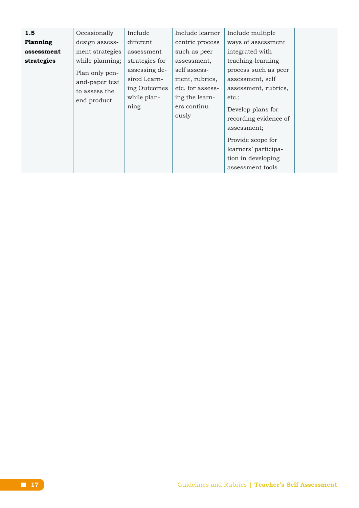| 1.5<br>Planning<br>assessment<br>strategies | Occasionally<br>design assess-<br>ment strategies<br>while planning;<br>Plan only pen-<br>and-paper test<br>to assess the<br>end product | Include<br>different<br>assessment<br>strategies for<br>assessing de-<br>sired Learn-<br>ing Outcomes<br>while plan-<br>ning | Include learner<br>centric process<br>such as peer<br>assessment,<br>self assess-<br>ment, rubrics,<br>etc. for assess-<br>ing the learn-<br>ers continu-<br>ously | Include multiple<br>ways of assessment<br>integrated with<br>teaching-learning<br>process such as peer<br>assessment, self<br>assessment, rubrics,<br>etc.;<br>Develop plans for<br>recording evidence of<br>assessment;<br>Provide scope for<br>learners' participa- |  |
|---------------------------------------------|------------------------------------------------------------------------------------------------------------------------------------------|------------------------------------------------------------------------------------------------------------------------------|--------------------------------------------------------------------------------------------------------------------------------------------------------------------|-----------------------------------------------------------------------------------------------------------------------------------------------------------------------------------------------------------------------------------------------------------------------|--|
|                                             |                                                                                                                                          |                                                                                                                              |                                                                                                                                                                    | tion in developing<br>assessment tools                                                                                                                                                                                                                                |  |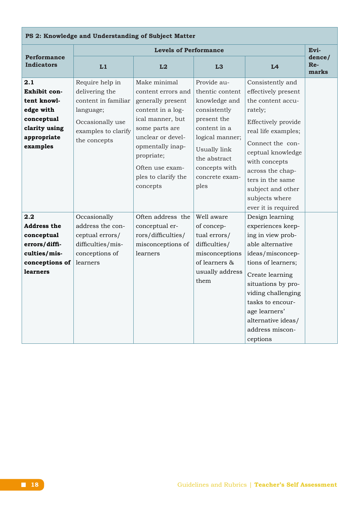| PS 2: Knowledge and Understanding of Subject Matter                                                           |                                                                                                                                  |                                                                                                                                                                                                                                 |                                                                                                                                                                                              |                                                                                                                                                                                                                                                                                       |                        |  |  |  |  |
|---------------------------------------------------------------------------------------------------------------|----------------------------------------------------------------------------------------------------------------------------------|---------------------------------------------------------------------------------------------------------------------------------------------------------------------------------------------------------------------------------|----------------------------------------------------------------------------------------------------------------------------------------------------------------------------------------------|---------------------------------------------------------------------------------------------------------------------------------------------------------------------------------------------------------------------------------------------------------------------------------------|------------------------|--|--|--|--|
|                                                                                                               |                                                                                                                                  | <b>Levels of Performance</b>                                                                                                                                                                                                    |                                                                                                                                                                                              |                                                                                                                                                                                                                                                                                       | Evi-                   |  |  |  |  |
| <b>Performance</b><br><b>Indicators</b>                                                                       | L1                                                                                                                               | L2                                                                                                                                                                                                                              | L3                                                                                                                                                                                           | L4                                                                                                                                                                                                                                                                                    | dence/<br>Re-<br>marks |  |  |  |  |
| 2.1<br>Exhibit con-<br>tent knowl-<br>edge with<br>conceptual<br>clarity using<br>appropriate<br>examples     | Require help in<br>delivering the<br>content in familiar<br>language;<br>Occasionally use<br>examples to clarify<br>the concepts | Make minimal<br>content errors and<br>generally present<br>content in a log-<br>ical manner, but<br>some parts are<br>unclear or devel-<br>opmentally inap-<br>propriate;<br>Often use exam-<br>ples to clarify the<br>concepts | Provide au-<br>thentic content<br>knowledge and<br>consistently<br>present the<br>content in a<br>logical manner;<br>Usually link<br>the abstract<br>concepts with<br>concrete exam-<br>ples | Consistently and<br>effectively present<br>the content accu-<br>rately;<br>Effectively provide<br>real life examples;<br>Connect the con-<br>ceptual knowledge<br>with concepts<br>across the chap-<br>ters in the same<br>subject and other<br>subjects where<br>ever it is required |                        |  |  |  |  |
| 2.2<br><b>Address the</b><br>conceptual<br>errors/diffi-<br>culties/mis-<br>conceptions of<br><b>learners</b> | Occasionally<br>address the con-<br>ceptual errors/<br>difficulties/mis-<br>conceptions of<br>learners                           | Often address the<br>conceptual er-<br>rors/difficulties/<br>misconceptions of<br>learners                                                                                                                                      | Well aware<br>of concep-<br>tual errors/<br>difficulties/<br>misconceptions<br>of learners &<br>usually address<br>them                                                                      | Design learning<br>experiences keep-<br>ing in view prob-<br>able alternative<br>ideas/misconcep-<br>tions of learners;<br>Create learning<br>situations by pro-<br>viding challenging<br>tasks to encour-<br>age learners'<br>alternative ideas/<br>address miscon-<br>ceptions      |                        |  |  |  |  |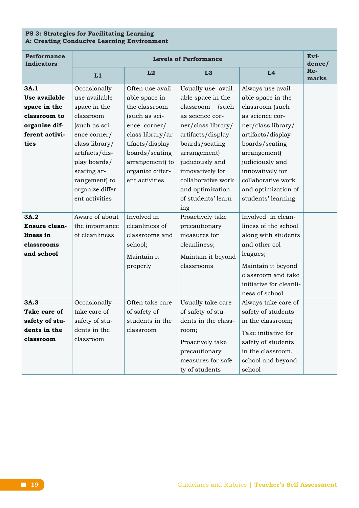#### **PS 3: Strategies for Facilitating Learning A: Creating Conducive Learning Environment**

| <b>Performance</b><br><b>Indicators</b>                                                          | Evi-<br><b>Levels of Performance</b>                                                                                                                                            |                                                                                                                                                                                                        |                                                                                                                                                                                                                            |                                                                                                                                                                                                                        |                        |  |
|--------------------------------------------------------------------------------------------------|---------------------------------------------------------------------------------------------------------------------------------------------------------------------------------|--------------------------------------------------------------------------------------------------------------------------------------------------------------------------------------------------------|----------------------------------------------------------------------------------------------------------------------------------------------------------------------------------------------------------------------------|------------------------------------------------------------------------------------------------------------------------------------------------------------------------------------------------------------------------|------------------------|--|
|                                                                                                  | L1                                                                                                                                                                              | L2                                                                                                                                                                                                     | L3                                                                                                                                                                                                                         | L4                                                                                                                                                                                                                     | dence/<br>Re-<br>marks |  |
| 3A.1<br>Use available<br>space in the<br>classroom to<br>organize dif-<br>ferent activi-<br>ties | Occasionally<br>use available<br>space in the<br>classroom<br>(such as sci-<br>ence corner/<br>class library/<br>artifacts/dis-<br>play boards/<br>seating ar-<br>rangement) to | Often use avail-<br>able space in<br>the classroom<br>(such as sci-<br>ence corner/<br>class library/ar-<br>tifacts/display<br>boards/seating<br>arrangement) to<br>organize differ-<br>ent activities | Usually use avail-<br>able space in the<br>classroom<br>(such<br>as science cor-<br>ner/class library/<br>artifacts/display<br>boards/seating<br>arrangement)<br>judiciously and<br>innovatively for<br>collaborative work | Always use avail-<br>able space in the<br>classroom (such<br>as science cor-<br>ner/class library/<br>artifacts/display<br>boards/seating<br>arrangement)<br>judiciously and<br>innovatively for<br>collaborative work |                        |  |
|                                                                                                  | organize differ-<br>ent activities                                                                                                                                              |                                                                                                                                                                                                        | and optimization<br>of students' learn-<br>ing                                                                                                                                                                             | and optimization of<br>students' learning                                                                                                                                                                              |                        |  |
| 3A.2<br><b>Ensure clean-</b><br>liness in<br>classrooms<br>and school                            | Aware of about<br>the importance<br>of cleanliness                                                                                                                              | Involved in<br>cleanliness of<br>classrooms and<br>school;<br>Maintain it<br>properly                                                                                                                  | Proactively take<br>precautionary<br>measures for<br>cleanliness;<br>Maintain it beyond<br>classrooms                                                                                                                      | Involved in clean-<br>liness of the school<br>along with students<br>and other col-<br>leagues;<br>Maintain it beyond<br>classroom and take<br>initiative for cleanli-<br>ness of school                               |                        |  |
| 3A.3<br>Take care of<br>safety of stu-<br>dents in the<br>classroom                              | Occasionally<br>take care of<br>safety of stu-<br>dents in the<br>classroom                                                                                                     | Often take care<br>of safety of<br>students in the<br>classroom                                                                                                                                        | Usually take care<br>of safety of stu-<br>dents in the class-<br>room;<br>Proactively take<br>precautionary<br>measures for safe-<br>ty of students                                                                        | Always take care of<br>safety of students<br>in the classroom;<br>Take initiative for<br>safety of students<br>in the classroom,<br>school and beyond<br>school                                                        |                        |  |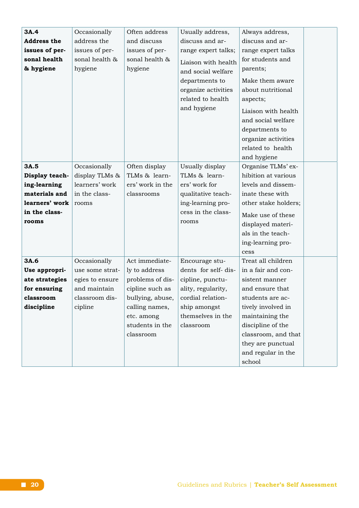| 3A.4               | Occasionally    | Often address    | Usually address,    | Always address,      |  |
|--------------------|-----------------|------------------|---------------------|----------------------|--|
| <b>Address the</b> | address the     | and discuss      | discuss and ar-     | discuss and ar-      |  |
| issues of per-     | issues of per-  | issues of per-   | range expert talks; | range expert talks   |  |
| sonal health       | sonal health &  | sonal health &   | Liaison with health | for students and     |  |
| & hygiene          | hygiene         | hygiene          | and social welfare  | parents;             |  |
|                    |                 |                  | departments to      | Make them aware      |  |
|                    |                 |                  | organize activities | about nutritional    |  |
|                    |                 |                  | related to health   | aspects;             |  |
|                    |                 |                  | and hygiene         |                      |  |
|                    |                 |                  |                     | Liaison with health  |  |
|                    |                 |                  |                     | and social welfare   |  |
|                    |                 |                  |                     | departments to       |  |
|                    |                 |                  |                     | organize activities  |  |
|                    |                 |                  |                     | related to health    |  |
|                    |                 |                  |                     | and hygiene          |  |
| 3A.5               | Occasionally    | Often display    | Usually display     | Organise TLMs' ex-   |  |
| Display teach-     | display TLMs &  | TLMs & learn-    | TLMs & learn-       | hibition at various  |  |
| ing-learning       | learners' work  | ers' work in the | ers' work for       | levels and dissem-   |  |
| materials and      | in the class-   | classrooms       | qualitative teach-  | inate these with     |  |
| learners' work     | rooms           |                  | ing-learning pro-   | other stake holders; |  |
| in the class-      |                 |                  | cess in the class-  | Make use of these    |  |
| rooms              |                 |                  | rooms               | displayed materi-    |  |
|                    |                 |                  |                     | als in the teach-    |  |
|                    |                 |                  |                     | ing-learning pro-    |  |
|                    |                 |                  |                     | cess                 |  |
| 3A.6               | Occasionally    | Act immediate-   | Encourage stu-      | Treat all children   |  |
| Use appropri-      | use some strat- | ly to address    | dents for self-dis- | in a fair and con-   |  |
| ate strategies     | egies to ensure | problems of dis- | cipline, punctu-    | sistent manner       |  |
| for ensuring       | and maintain    | cipline such as  | ality, regularity,  | and ensure that      |  |
| classroom          | classroom dis-  | bullying, abuse, | cordial relation-   | students are ac-     |  |
| discipline         | cipline         | calling names,   | ship amongst        | tively involved in   |  |
|                    |                 | etc. among       | themselves in the   | maintaining the      |  |
|                    |                 | students in the  | classroom           | discipline of the    |  |
|                    |                 | classroom        |                     | classroom, and that  |  |
|                    |                 |                  |                     | they are punctual    |  |
|                    |                 |                  |                     | and regular in the   |  |
|                    |                 |                  |                     | school               |  |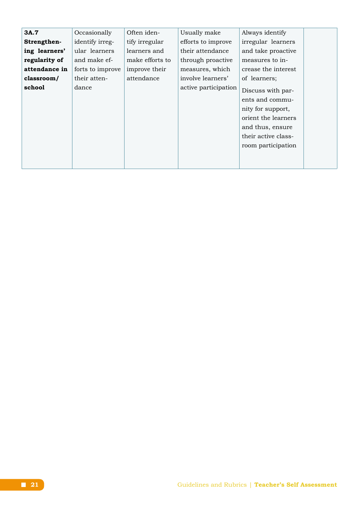| 3A.7          | Occasionally     | Often iden-     | Usually make         | Always identify     |
|---------------|------------------|-----------------|----------------------|---------------------|
| Strengthen-   | identify irreg-  | tify irregular  | efforts to improve   | irregular learners  |
| ing learners' | ular learners    | learners and    | their attendance     | and take proactive  |
| regularity of | and make ef-     | make efforts to | through proactive    | measures to in-     |
| attendance in | forts to improve | improve their   | measures, which      | crease the interest |
| classroom/    | their atten-     | attendance      | involve learners'    | of learners;        |
| school        | dance            |                 | active participation | Discuss with par-   |
|               |                  |                 |                      | ents and commu-     |
|               |                  |                 |                      | nity for support,   |
|               |                  |                 |                      | orient the learners |
|               |                  |                 |                      | and thus, ensure    |
|               |                  |                 |                      | their active class- |
|               |                  |                 |                      | room participation  |
|               |                  |                 |                      |                     |
|               |                  |                 |                      |                     |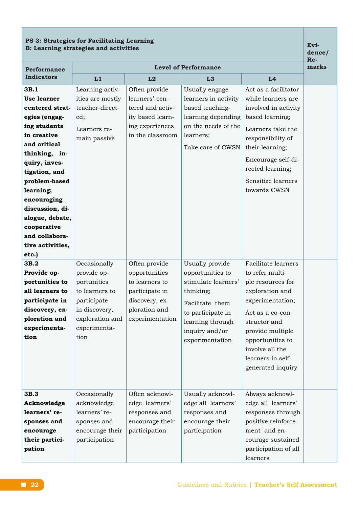# **PS 3: Strategies for Facilitating Learning B: Learning strategies and activities Evi-**

**dence/ Re-**

| <b>Performance</b>                                                                                                                                                                                                                                                                                       | <b>Level of Performance</b>                                                                                                             |                                                                                                                          |                                                                                                                                                                          |                                                                                                                                                                                                                                             |  |
|----------------------------------------------------------------------------------------------------------------------------------------------------------------------------------------------------------------------------------------------------------------------------------------------------------|-----------------------------------------------------------------------------------------------------------------------------------------|--------------------------------------------------------------------------------------------------------------------------|--------------------------------------------------------------------------------------------------------------------------------------------------------------------------|---------------------------------------------------------------------------------------------------------------------------------------------------------------------------------------------------------------------------------------------|--|
| <b>Indicators</b>                                                                                                                                                                                                                                                                                        | L1                                                                                                                                      | L2                                                                                                                       | L <sub>3</sub>                                                                                                                                                           | L4                                                                                                                                                                                                                                          |  |
| 3B.1<br><b>Use learner</b><br>centered strat-<br>egies (engag-<br>ing students<br>in creative<br>and critical<br>thinking, in-<br>quiry, inves-<br>tigation, and<br>problem-based<br>learning;<br>encouraging<br>discussion, di-<br>alogue, debate,<br>cooperative<br>and collabora-<br>tive activities, | Learning activ-<br>ities are mostly<br>teacher-direct-<br>ed;<br>Learners re-<br>main passive                                           | Often provide<br>learners'-cen-<br>tered and activ-<br>ity based learn-<br>ing experiences<br>in the classroom           | Usually engage<br>learners in activity<br>based teaching-<br>learning depending<br>on the needs of the<br>learners;<br>Take care of CWSN                                 | Act as a facilitator<br>while learners are<br>involved in activity<br>based learning;<br>Learners take the<br>responsibility of<br>their learning;<br>Encourage self-di-<br>rected learning;<br>Sensitize learners<br>towards CWSN          |  |
| etc.)<br>3B.2<br>Provide op-<br>portunities to<br>all learners to<br>participate in<br>discovery, ex-<br>ploration and<br>experimenta-<br>tion                                                                                                                                                           | Occasionally<br>provide op-<br>portunities<br>to learners to<br>participate<br>in discovery,<br>exploration and<br>experimenta-<br>tion | Often provide<br>opportunities<br>to learners to<br>participate in<br>discovery, ex-<br>ploration and<br>experimentation | Usually provide<br>opportunities to<br>stimulate learners'<br>thinking;<br>Facilitate them<br>to participate in<br>learning through<br>inquiry and/or<br>experimentation | Facilitate learners<br>to refer multi-<br>ple resources for<br>exploration and<br>experimentation;<br>Act as a co-con-<br>structor and<br>provide multiple<br>opportunities to<br>involve all the<br>learners in self-<br>generated inquiry |  |
| 3B.3<br>Acknowledge<br>learners' re-<br>sponses and<br>encourage<br>their partici-<br>pation                                                                                                                                                                                                             | Occasionally<br>acknowledge<br>learners' re-<br>sponses and<br>encourage their<br>participation                                         | Often acknowl-<br>edge learners'<br>responses and<br>encourage their<br>participation                                    | Usually acknowl-<br>edge all learners'<br>responses and<br>encourage their<br>participation                                                                              | Always acknowl-<br>edge all learners'<br>responses through<br>positive reinforce-<br>ment and en-<br>courage sustained<br>participation of all<br>learners                                                                                  |  |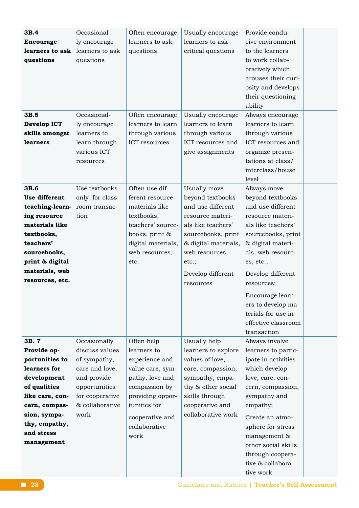| 3B.4             | Occasional-     | Often encourage    | Usually encourage    | Provide condu-      |  |
|------------------|-----------------|--------------------|----------------------|---------------------|--|
| <b>Encourage</b> | ly encourage    | learners to ask    | learners to ask      | cive environment    |  |
| learners to ask  | learners to ask | questions          | critical questions   | to the learners     |  |
| questions        | questions       |                    |                      | to work collab-     |  |
|                  |                 |                    |                      | oratively which     |  |
|                  |                 |                    |                      | arouses their curi- |  |
|                  |                 |                    |                      | osity and develops  |  |
|                  |                 |                    |                      | their questioning   |  |
|                  |                 |                    |                      | ability             |  |
| 3B.5             | Occasional-     | Often encourage    | Usually encourage    | Always encourage    |  |
| Develop ICT      | ly encourage    | learners to learn  | learners to learn    | learners to learn   |  |
| skills amongst   | learners to     | through various    | through various      | through various     |  |
| learners         | learn through   | ICT resources      | ICT resources and    | ICT resources and   |  |
|                  | various ICT     |                    | give assignments     | organize presen-    |  |
|                  | resources       |                    |                      | tations at class/   |  |
|                  |                 |                    |                      | interclass/house    |  |
|                  |                 |                    |                      | level               |  |
| 3B.6             | Use textbooks   | Often use dif-     | Usually move         | Always move         |  |
| Use different    | only for class- | ferent resource    | beyond textbooks     | beyond textbooks    |  |
| teaching-learn-  | room transac-   | materials like     | and use different    | and use different   |  |
| ing resource     | tion            | textbooks,         | resource materi-     | resource materi-    |  |
| materials like   |                 | teachers' source-  | als like teachers'   | als like teachers'  |  |
| textbooks,       |                 | books, print &     | sourcebooks, print   | sourcebooks, print  |  |
| teachers'        |                 | digital materials, | & digital materials, | & digital materi-   |  |
| sourcebooks,     |                 | web resources,     | web resources,       | als, web resourc-   |  |
| print & digital  |                 | etc.               | etc.;                | es, etc.;           |  |
| materials, web   |                 |                    |                      |                     |  |
| resources, etc.  |                 |                    | Develop different    | Develop different   |  |
|                  |                 |                    | resources            | resources;          |  |
|                  |                 |                    |                      | Encourage learn-    |  |
|                  |                 |                    |                      | ers to develop ma-  |  |
|                  |                 |                    |                      | terials for use in  |  |
|                  |                 |                    |                      | effective classroom |  |
|                  |                 |                    |                      | transaction         |  |
| 3B. 7            | Occasionally    | Often help         | Usually help         | Always involve      |  |
| Provide op-      | discuss values  | learners to        | learners to explore  | learners to partic- |  |
| portunities to   | of sympathy,    | experience and     | values of love,      | ipate in activities |  |
| learners for     | care and love,  | value care, sym-   | care, compassion,    | which develop       |  |
| development      | and provide     | pathy, love and    | sympathy, empa-      | love, care, con-    |  |
| of qualities     | opportunities   | compassion by      | thy & other social   | cern, compassion,   |  |
| like care, con-  | for cooperative | providing oppor-   | skills through       | sympathy and        |  |
| cern, compas-    | & collaborative | tunities for       | cooperative and      | empathy;            |  |
| sion, sympa-     | work            | cooperative and    | collaborative work   | Create an atmo-     |  |
| thy, empathy,    |                 | collaborative      |                      | sphere for stress   |  |
| and stress       |                 | work               |                      | management &        |  |
| management       |                 |                    |                      | other social skills |  |
|                  |                 |                    |                      | through coopera-    |  |
|                  |                 |                    |                      | tive & collabora-   |  |
|                  |                 |                    |                      | tive work           |  |
|                  |                 |                    |                      |                     |  |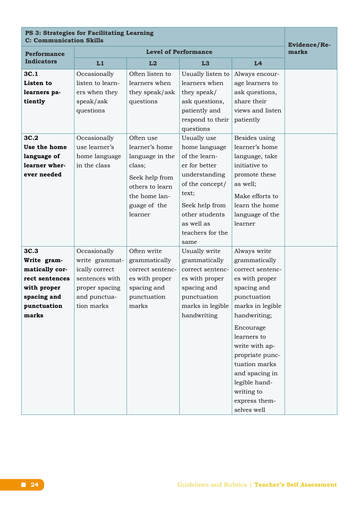| PS 3: Strategies for Facilitating Learning<br><b>C: Communication Skills</b> | Evidence/Re-     |                  |                             |                  |       |
|------------------------------------------------------------------------------|------------------|------------------|-----------------------------|------------------|-------|
| <b>Performance</b>                                                           |                  |                  | <b>Level of Performance</b> |                  | marks |
| <b>Indicators</b>                                                            | L1               | L2               | L3                          | L4               |       |
| 3C.1                                                                         | Occasionally     | Often listen to  | Usually listen to           | Always encour-   |       |
| Listen to                                                                    | listen to learn- | learners when    | learners when               | age learners to  |       |
| learners pa-                                                                 | ers when they    | they speak/ask   | they speak/                 | ask questions,   |       |
| tiently                                                                      | speak/ask        | questions        | ask questions,              | share their      |       |
|                                                                              | questions        |                  | patiently and               | views and listen |       |
|                                                                              |                  |                  | respond to their            | patiently        |       |
|                                                                              |                  |                  | questions                   |                  |       |
| 3C.2                                                                         | Occasionally     | Often use        | Usually use                 | Besides using    |       |
| Use the home                                                                 | use learner's    | learner's home   | home language               | learner's home   |       |
| language of                                                                  | home language    | language in the  | of the learn-               | language, take   |       |
| learner wher-                                                                | in the class     | class;           | er for better               | initiative to    |       |
| ever needed                                                                  |                  | Seek help from   | understanding               | promote these    |       |
|                                                                              |                  | others to learn  | of the concept/             | as well;         |       |
|                                                                              |                  | the home lan-    | text;                       | Make efforts to  |       |
|                                                                              |                  | guage of the     | Seek help from              | learn the home   |       |
|                                                                              |                  | learner          | other students              | language of the  |       |
|                                                                              |                  |                  | as well as                  | learner          |       |
|                                                                              |                  |                  | teachers for the            |                  |       |
|                                                                              |                  |                  | same                        |                  |       |
| 3C.3                                                                         | Occasionally     | Often write      | Usually write               | Always write     |       |
| Write gram-                                                                  | write grammat-   | grammatically    | grammatically               | grammatically    |       |
| matically cor-                                                               | ically correct   | correct sentenc- | correct sentenc-            | correct sentenc- |       |
| rect sentences                                                               | sentences with   | es with proper   | es with proper              | es with proper   |       |
| with proper                                                                  | proper spacing   | spacing and      | spacing and                 | spacing and      |       |
| spacing and                                                                  | and punctua-     | punctuation      | punctuation                 | punctuation      |       |
| punctuation                                                                  | tion marks       | marks            | marks in legible            | marks in legible |       |
| marks                                                                        |                  |                  | handwriting                 | handwriting;     |       |
|                                                                              |                  |                  |                             | Encourage        |       |
|                                                                              |                  |                  |                             | learners to      |       |
|                                                                              |                  |                  |                             | write with ap-   |       |
|                                                                              |                  |                  |                             | propriate punc-  |       |
|                                                                              |                  |                  |                             | tuation marks    |       |
|                                                                              |                  |                  |                             | and spacing in   |       |
|                                                                              |                  |                  |                             | legible hand-    |       |
|                                                                              |                  |                  |                             | writing to       |       |
|                                                                              |                  |                  |                             | express them-    |       |
|                                                                              |                  |                  |                             | selves well      |       |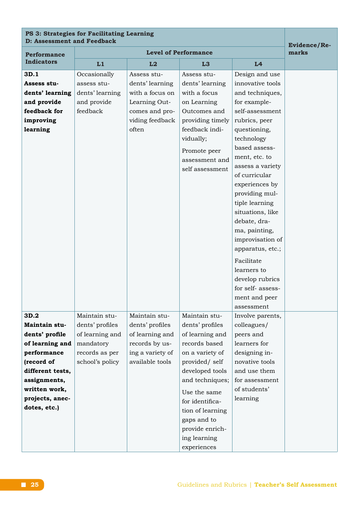# **PS 3: Strategies for Facilitating Learning D:** Assessment and Feedback **Evidence** Re-

| <b>Performance</b>                                                                             |                                                                           | marks                                                                                                            |                                                                                                                                                                                       |                                                                                                                                                                                                                                                                                                                                                                                                                                                                      |  |
|------------------------------------------------------------------------------------------------|---------------------------------------------------------------------------|------------------------------------------------------------------------------------------------------------------|---------------------------------------------------------------------------------------------------------------------------------------------------------------------------------------|----------------------------------------------------------------------------------------------------------------------------------------------------------------------------------------------------------------------------------------------------------------------------------------------------------------------------------------------------------------------------------------------------------------------------------------------------------------------|--|
| <b>Indicators</b>                                                                              | L1                                                                        | L2                                                                                                               | L <sub>3</sub>                                                                                                                                                                        | L4                                                                                                                                                                                                                                                                                                                                                                                                                                                                   |  |
| 3D.1<br>Assess stu-<br>dents' learning<br>and provide<br>feedback for<br>improving<br>learning | Occasionally<br>assess stu-<br>dents' learning<br>and provide<br>feedback | Assess stu-<br>dents' learning<br>with a focus on<br>Learning Out-<br>comes and pro-<br>viding feedback<br>often | Assess stu-<br>dents' learning<br>with a focus<br>on Learning<br>Outcomes and<br>providing timely<br>feedback indi-<br>vidually;<br>Promote peer<br>assessment and<br>self assessment | Design and use<br>innovative tools<br>and techniques,<br>for example-<br>self-assessment<br>rubrics, peer<br>questioning,<br>technology<br>based assess-<br>ment, etc. to<br>assess a variety<br>of curricular<br>experiences by<br>providing mul-<br>tiple learning<br>situations, like<br>debate, dra-<br>ma, painting,<br>improvisation of<br>apparatus, etc.;<br>Facilitate<br>learners to<br>develop rubrics<br>for self-assess-<br>ment and peer<br>assessment |  |
| 3D.2                                                                                           | Maintain stu-                                                             | Maintain stu-                                                                                                    | Maintain stu-                                                                                                                                                                         | Involve parents,                                                                                                                                                                                                                                                                                                                                                                                                                                                     |  |
| Maintain stu-                                                                                  | dents' profiles                                                           | dents' profiles                                                                                                  | dents' profiles                                                                                                                                                                       | colleagues/                                                                                                                                                                                                                                                                                                                                                                                                                                                          |  |
| dents' profile                                                                                 | of learning and                                                           | of learning and                                                                                                  | of learning and                                                                                                                                                                       | peers and                                                                                                                                                                                                                                                                                                                                                                                                                                                            |  |
| of learning and                                                                                | mandatory                                                                 | records by us-                                                                                                   | records based<br>on a variety of                                                                                                                                                      | learners for                                                                                                                                                                                                                                                                                                                                                                                                                                                         |  |
| performance<br>(record of                                                                      | records as per<br>school's policy                                         | ing a variety of<br>available tools                                                                              | provided/ self                                                                                                                                                                        | designing in-<br>novative tools                                                                                                                                                                                                                                                                                                                                                                                                                                      |  |
| different tests,                                                                               |                                                                           |                                                                                                                  | developed tools                                                                                                                                                                       | and use them                                                                                                                                                                                                                                                                                                                                                                                                                                                         |  |
| assignments,                                                                                   |                                                                           |                                                                                                                  | and techniques;                                                                                                                                                                       | for assessment                                                                                                                                                                                                                                                                                                                                                                                                                                                       |  |
| written work,                                                                                  |                                                                           |                                                                                                                  | Use the same                                                                                                                                                                          | of students'                                                                                                                                                                                                                                                                                                                                                                                                                                                         |  |
| projects, anec-                                                                                |                                                                           |                                                                                                                  | for identifica-                                                                                                                                                                       | learning                                                                                                                                                                                                                                                                                                                                                                                                                                                             |  |
| dotes, etc.)                                                                                   |                                                                           |                                                                                                                  | tion of learning                                                                                                                                                                      |                                                                                                                                                                                                                                                                                                                                                                                                                                                                      |  |
|                                                                                                |                                                                           |                                                                                                                  | gaps and to                                                                                                                                                                           |                                                                                                                                                                                                                                                                                                                                                                                                                                                                      |  |
|                                                                                                |                                                                           |                                                                                                                  | provide enrich-                                                                                                                                                                       |                                                                                                                                                                                                                                                                                                                                                                                                                                                                      |  |
|                                                                                                |                                                                           |                                                                                                                  | ing learning                                                                                                                                                                          |                                                                                                                                                                                                                                                                                                                                                                                                                                                                      |  |
|                                                                                                |                                                                           |                                                                                                                  | experiences                                                                                                                                                                           |                                                                                                                                                                                                                                                                                                                                                                                                                                                                      |  |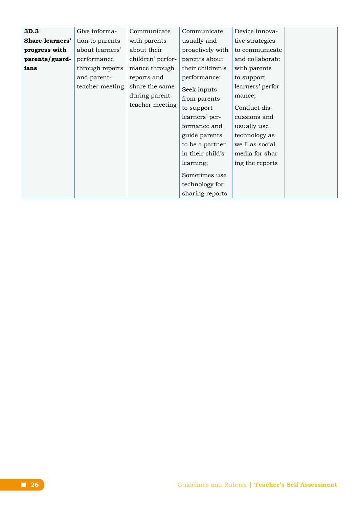| 3D.3                   | Give informa-   | Communicate       | Communicate      | Device innova-    |  |
|------------------------|-----------------|-------------------|------------------|-------------------|--|
| <b>Share learners'</b> | tion to parents | with parents      | usually and      | tive strategies   |  |
| progress with          | about learners' | about their       | proactively with | to communicate    |  |
| parents/guard-         | performance     | children' perfor- | parents about    | and collaborate   |  |
| ians                   | through reports | mance through     | their children's | with parents      |  |
|                        | and parent-     | reports and       | performance;     | to support        |  |
|                        | teacher meeting | share the same    | Seek inputs      | learners' perfor- |  |
|                        |                 | during parent-    | from parents     | mance;            |  |
|                        |                 | teacher meeting   | to support       | Conduct dis-      |  |
|                        |                 |                   | learners' per-   | cussions and      |  |
|                        |                 |                   | formance and     | usually use       |  |
|                        |                 |                   | guide parents    | technology as     |  |
|                        |                 |                   | to be a partner  | we ll as social   |  |
|                        |                 |                   | in their child's | media for shar-   |  |
|                        |                 |                   | learning;        | ing the reports   |  |
|                        |                 |                   | Sometimes use    |                   |  |
|                        |                 |                   | technology for   |                   |  |
|                        |                 |                   | sharing reports  |                   |  |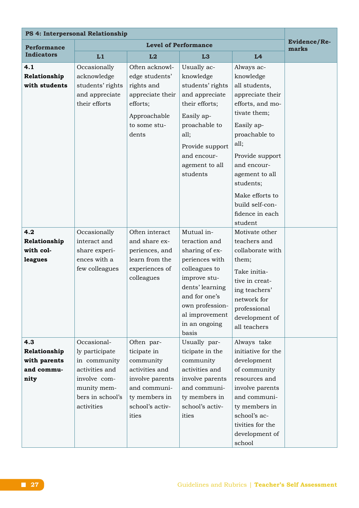| PS 4: Interpersonal Relationship                          |                                                                                                                                  |                                                                                                                                          |                                                                                                                                                                                                     |                                                                                                                                                                                                                                                |                       |
|-----------------------------------------------------------|----------------------------------------------------------------------------------------------------------------------------------|------------------------------------------------------------------------------------------------------------------------------------------|-----------------------------------------------------------------------------------------------------------------------------------------------------------------------------------------------------|------------------------------------------------------------------------------------------------------------------------------------------------------------------------------------------------------------------------------------------------|-----------------------|
| <b>Performance</b>                                        |                                                                                                                                  |                                                                                                                                          | <b>Level of Performance</b>                                                                                                                                                                         |                                                                                                                                                                                                                                                | Evidence/Re-<br>marks |
| <b>Indicators</b>                                         | L1                                                                                                                               | L2                                                                                                                                       | L3                                                                                                                                                                                                  | L4                                                                                                                                                                                                                                             |                       |
| 4.1<br>Relationship<br>with students                      | Occasionally<br>acknowledge<br>students' rights<br>and appreciate<br>their efforts                                               | Often acknowl-<br>edge students'<br>rights and<br>appreciate their<br>efforts;<br>Approachable<br>to some stu-<br>dents                  | Usually ac-<br>knowledge<br>students' rights<br>and appreciate<br>their efforts;<br>Easily ap-<br>proachable to<br>all;<br>Provide support<br>and encour-<br>agement to all<br>students             | Always ac-<br>knowledge<br>all students,<br>appreciate their<br>efforts, and mo-<br>tivate them;<br>Easily ap-<br>proachable to<br>all;<br>Provide support<br>and encour-<br>agement to all<br>students;<br>Make efforts to<br>build self-con- |                       |
|                                                           |                                                                                                                                  |                                                                                                                                          |                                                                                                                                                                                                     | fidence in each<br>student                                                                                                                                                                                                                     |                       |
| 4.2<br>Relationship<br>with col-<br>leagues               | Occasionally<br>interact and<br>share experi-<br>ences with a<br>few colleagues                                                  | Often interact<br>and share ex-<br>periences, and<br>learn from the<br>experiences of<br>colleagues                                      | Mutual in-<br>teraction and<br>sharing of ex-<br>periences with<br>colleagues to<br>improve stu-<br>dents' learning<br>and for one's<br>own profession-<br>al improvement<br>in an ongoing<br>basis | Motivate other<br>teachers and<br>collaborate with<br>them;<br>Take initia-<br>tive in creat-<br>ing teachers'<br>network for<br>professional<br>development of<br>all teachers                                                                |                       |
| 4.3<br>Relationship<br>with parents<br>and commu-<br>nity | Occasional-<br>ly participate<br>in community<br>activities and<br>involve com-<br>munity mem-<br>bers in school's<br>activities | Often par-<br>ticipate in<br>community<br>activities and<br>involve parents<br>and communi-<br>ty members in<br>school's activ-<br>ities | Usually par-<br>ticipate in the<br>community<br>activities and<br>involve parents<br>and communi-<br>ty members in<br>school's activ-<br>ities                                                      | Always take<br>initiative for the<br>development<br>of community<br>resources and<br>involve parents<br>and communi-<br>ty members in<br>school's ac-<br>tivities for the<br>development of<br>school                                          |                       |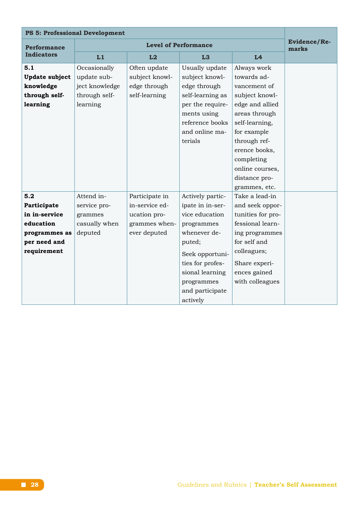| <b>PS 5: Professional Development</b> |                |                              |                  |                   |  |
|---------------------------------------|----------------|------------------------------|------------------|-------------------|--|
| <b>Performance</b>                    |                | <b>Evidence/Re-</b><br>marks |                  |                   |  |
| <b>Indicators</b>                     | L1             | L2                           | L <sub>3</sub>   | L4                |  |
| 5.1                                   | Occasionally   | Often update                 | Usually update   | Always work       |  |
| <b>Update subject</b>                 | update sub-    | subject knowl-               | subject knowl-   | towards ad-       |  |
| knowledge                             | ject knowledge | edge through                 | edge through     | vancement of      |  |
| through self-                         | through self-  | self-learning                | self-learning as | subject knowl-    |  |
| learning                              | learning       |                              | per the require- | edge and allied   |  |
|                                       |                |                              | ments using      | areas through     |  |
|                                       |                |                              | reference books  | self-learning,    |  |
|                                       |                |                              | and online ma-   | for example       |  |
|                                       |                |                              | terials          | through ref-      |  |
|                                       |                |                              |                  | erence books,     |  |
|                                       |                |                              |                  | completing        |  |
|                                       |                |                              |                  | online courses,   |  |
|                                       |                |                              |                  | distance pro-     |  |
|                                       |                |                              |                  | grammes, etc.     |  |
| 5.2                                   | Attend in-     | Participate in               | Actively partic- | Take a lead-in    |  |
| Participate                           | service pro-   | in-service ed-               | ipate in in-ser- | and seek oppor-   |  |
| in in-service                         | grammes        | ucation pro-                 | vice education   | tunities for pro- |  |
| education                             | casually when  | grammes when-                | programmes       | fessional learn-  |  |
| programmes as                         | deputed        | ever deputed                 | whenever de-     | ing programmes    |  |
| per need and                          |                |                              | puted;           | for self and      |  |
| requirement                           |                |                              | Seek opportuni-  | colleagues;       |  |
|                                       |                |                              | ties for profes- | Share experi-     |  |
|                                       |                |                              | sional learning  | ences gained      |  |
|                                       |                |                              | programmes       | with colleagues   |  |
|                                       |                |                              | and participate  |                   |  |
|                                       |                |                              | actively         |                   |  |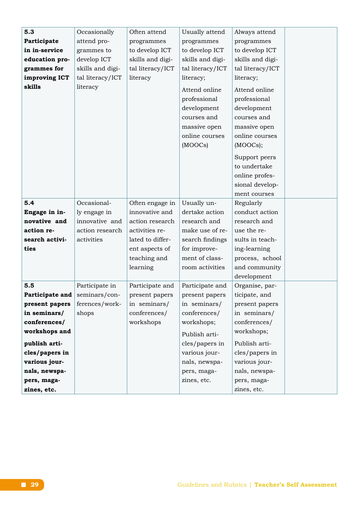| 5.3             | Occasionally     | Often attend     | Usually attend   | Always attend    |  |
|-----------------|------------------|------------------|------------------|------------------|--|
| Participate     | attend pro-      | programmes       | programmes       | programmes       |  |
| in in-service   | grammes to       | to develop ICT   | to develop ICT   | to develop ICT   |  |
| education pro-  | develop ICT      | skills and digi- | skills and digi- | skills and digi- |  |
| grammes for     | skills and digi- | tal literacy/ICT | tal literacy/ICT | tal literacy/ICT |  |
| improving ICT   | tal literacy/ICT | literacy         | literacy;        | literacy;        |  |
| skills          | literacy         |                  | Attend online    | Attend online    |  |
|                 |                  |                  | professional     | professional     |  |
|                 |                  |                  | development      | development      |  |
|                 |                  |                  | courses and      | courses and      |  |
|                 |                  |                  | massive open     | massive open     |  |
|                 |                  |                  | online courses   | online courses   |  |
|                 |                  |                  | (MOOCs)          | (MOOCs);         |  |
|                 |                  |                  |                  | Support peers    |  |
|                 |                  |                  |                  | to undertake     |  |
|                 |                  |                  |                  | online profes-   |  |
|                 |                  |                  |                  | sional develop-  |  |
|                 |                  |                  |                  | ment courses     |  |
| 5.4             | Occasional-      | Often engage in  | Usually un-      | Regularly        |  |
| Engage in in-   | ly engage in     | innovative and   | dertake action   | conduct action   |  |
| novative and    | innovative and   | action research  | research and     | research and     |  |
| action re-      | action research  | activities re-   | make use of re-  | use the re-      |  |
| search activi-  | activities       | lated to differ- | search findings  | sults in teach-  |  |
| ties            |                  | ent aspects of   | for improve-     | ing-learning     |  |
|                 |                  | teaching and     | ment of class-   | process, school  |  |
|                 |                  | learning         | room activities  | and community    |  |
|                 |                  |                  |                  | development      |  |
| 5.5             | Participate in   | Participate and  | Participate and  | Organise, par-   |  |
| Participate and | seminars/con-    | present papers   | present papers   | ticipate, and    |  |
| present papers  | ferences/work-   | in seminars/     | in seminars/     | present papers   |  |
| in seminars/    | shops            | conferences/     | conferences/     | in seminars/     |  |
| conferences/    |                  | workshops        | workshops;       | conferences/     |  |
| workshops and   |                  |                  | Publish arti-    | workshops;       |  |
| publish arti-   |                  |                  | cles/papers in   | Publish arti-    |  |
| cles/papers in  |                  |                  | various jour-    | cles/papers in   |  |
| various jour-   |                  |                  | nals, newspa-    | various jour-    |  |
| nals, newspa-   |                  |                  | pers, maga-      | nals, newspa-    |  |
| pers, maga-     |                  |                  | zines, etc.      | pers, maga-      |  |
| zines, etc.     |                  |                  |                  | zines, etc.      |  |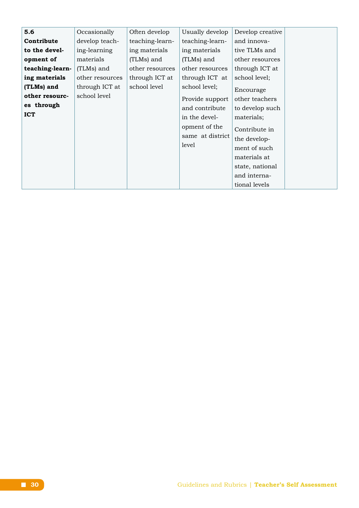| 5.6             | Occasionally    | Often develop   | Usually develop  | Develop creative |  |
|-----------------|-----------------|-----------------|------------------|------------------|--|
| Contribute      | develop teach-  | teaching-learn- | teaching-learn-  | and innova-      |  |
| to the devel-   | ing-learning    | ing materials   | ing materials    | tive TLMs and    |  |
| opment of       | materials       | (TLMs) and      | (TLMs) and       | other resources  |  |
| teaching-learn- | (TLMs) and      | other resources | other resources  | through ICT at   |  |
| ing materials   | other resources | through ICT at  | through ICT at   | school level;    |  |
| (TLMs) and      | through ICT at  | school level    | school level;    | Encourage        |  |
| other resourc-  | school level    |                 | Provide support  | other teachers   |  |
| es through      |                 |                 | and contribute   | to develop such  |  |
| <b>ICT</b>      |                 |                 | in the devel-    | materials;       |  |
|                 |                 |                 | opment of the    | Contribute in    |  |
|                 |                 |                 | same at district | the develop-     |  |
|                 |                 |                 | level            | ment of such     |  |
|                 |                 |                 |                  | materials at     |  |
|                 |                 |                 |                  | state, national  |  |
|                 |                 |                 |                  | and interna-     |  |
|                 |                 |                 |                  | tional levels    |  |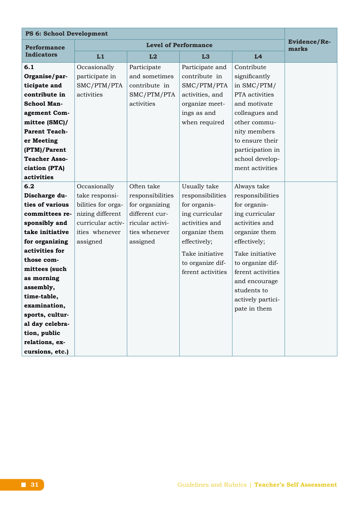| <b>PS 6: School Development</b> |                    |                             |                   |                   |                       |
|---------------------------------|--------------------|-----------------------------|-------------------|-------------------|-----------------------|
| <b>Performance</b>              |                    | <b>Level of Performance</b> |                   |                   | Evidence/Re-<br>marks |
| <b>Indicators</b>               | L1                 | L2                          | L <sub>3</sub>    | L4                |                       |
| 6.1                             | Occasionally       | Participate                 | Participate and   | Contribute        |                       |
| Organise/par-                   | participate in     | and sometimes               | contribute in     | significantly     |                       |
| ticipate and                    | SMC/PTM/PTA        | contribute in               | SMC/PTM/PTA       | in SMC/PTM/       |                       |
| contribute in                   | activities         | SMC/PTM/PTA                 | activities, and   | PTA activities    |                       |
| <b>School Man-</b>              |                    | activities                  | organize meet-    | and motivate      |                       |
| agement Com-                    |                    |                             | ings as and       | colleagues and    |                       |
| mittee (SMC)/                   |                    |                             | when required     | other commu-      |                       |
| <b>Parent Teach-</b>            |                    |                             |                   | nity members      |                       |
| er Meeting                      |                    |                             |                   | to ensure their   |                       |
| (PTM)/Parent                    |                    |                             |                   | participation in  |                       |
| <b>Teacher Asso-</b>            |                    |                             | school develop-   |                   |                       |
| ciation (PTA)                   |                    |                             |                   | ment activities   |                       |
| activities                      |                    |                             |                   |                   |                       |
| 6.2                             | Occasionally       | Often take                  | Usually take      | Always take       |                       |
| Discharge du-                   | take responsi-     | responsibilities            | responsibilities  | responsibilities  |                       |
| ties of various                 | bilities for orga- | for organizing              | for organis-      | for organis-      |                       |
| committees re-                  | nizing different   | different cur-              | ing curricular    | ing curricular    |                       |
| sponsibly and                   | curricular activ-  | ricular activi-             | activities and    | activities and    |                       |
| take initiative                 | ities whenever     | ties whenever               | organize them     | organize them     |                       |
| for organizing                  | assigned           | assigned                    | effectively;      | effectively;      |                       |
| activities for                  |                    |                             | Take initiative   | Take initiative   |                       |
| those com-                      |                    |                             | to organize dif-  | to organize dif-  |                       |
| mittees (such                   |                    |                             | ferent activities | ferent activities |                       |
| as morning                      |                    |                             |                   | and encourage     |                       |
| assembly,                       |                    |                             |                   | students to       |                       |
| time-table,                     |                    |                             |                   | actively partici- |                       |
| examination,                    |                    |                             |                   | pate in them      |                       |
| sports, cultur-                 |                    |                             |                   |                   |                       |
| al day celebra-                 |                    |                             |                   |                   |                       |
| tion, public                    |                    |                             |                   |                   |                       |
| relations, ex-                  |                    |                             |                   |                   |                       |
| cursions, etc.)                 |                    |                             |                   |                   |                       |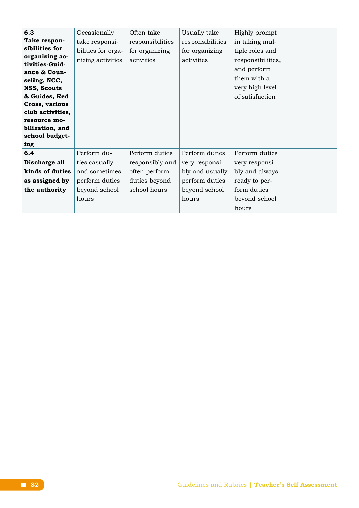| 6.3              | Occasionally       | Often take       | Usually take     | Highly prompt     |  |
|------------------|--------------------|------------------|------------------|-------------------|--|
| Take respon-     | take responsi-     | responsibilities | responsibilities | in taking mul-    |  |
| sibilities for   | bilities for orga- | for organizing   | for organizing   | tiple roles and   |  |
| organizing ac-   | nizing activities  | activities       | activities       | responsibilities, |  |
| tivities-Guid-   |                    |                  |                  | and perform       |  |
| ance & Coun-     |                    |                  |                  |                   |  |
| seling, NCC,     |                    |                  |                  | them with a       |  |
| NSS, Scouts      |                    |                  |                  | very high level   |  |
| & Guides, Red    |                    |                  |                  | of satisfaction   |  |
| Cross, various   |                    |                  |                  |                   |  |
| club activities, |                    |                  |                  |                   |  |
| resource mo-     |                    |                  |                  |                   |  |
| bilization, and  |                    |                  |                  |                   |  |
| school budget-   |                    |                  |                  |                   |  |
| ing              |                    |                  |                  |                   |  |
| 6.4              | Perform du-        | Perform duties   | Perform duties   | Perform duties    |  |
| Discharge all    | ties casually      | responsibly and  | very responsi-   | very responsi-    |  |
| kinds of duties  | and sometimes      | often perform    | bly and usually  | bly and always    |  |
| as assigned by   | perform duties     | duties beyond    | perform duties   | ready to per-     |  |
| the authority    | beyond school      | school hours     | beyond school    | form duties       |  |
|                  | hours              |                  | hours            | beyond school     |  |
|                  |                    |                  |                  | hours             |  |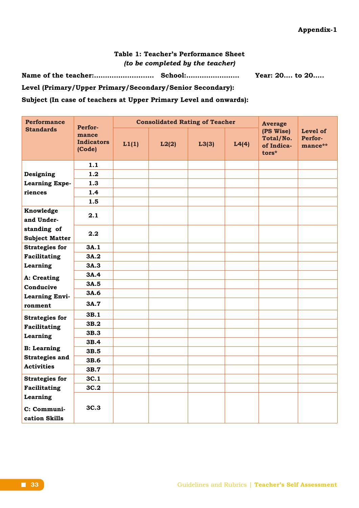## **Table 1: Teacher's Performance Sheet** *(to be completed by the teacher)*

**Name of the teacher:…………….........… School:…………………… Year: 20…. to 20…..**

**Level (Primary/Upper Primary/Secondary/Senior Secondary):** 

**Subject (In case of teachers at Upper Primary Level and onwards):**

| <b>Performance</b>                   | Perfor-                              | <b>Consolidated Rating of Teacher</b> |       |       |       | <b>Average</b>                                   |                                |
|--------------------------------------|--------------------------------------|---------------------------------------|-------|-------|-------|--------------------------------------------------|--------------------------------|
| <b>Standards</b>                     | mance<br><b>Indicators</b><br>(Code) | L1(1)                                 | L2(2) | L3(3) | L4(4) | (PS Wise)<br>Total/No.<br>of Indica-<br>$tors^*$ | Level of<br>Perfor-<br>mance** |
|                                      | 1.1                                  |                                       |       |       |       |                                                  |                                |
| Designing                            | 1.2                                  |                                       |       |       |       |                                                  |                                |
| <b>Learning Expe-</b>                | 1.3                                  |                                       |       |       |       |                                                  |                                |
| riences                              | 1.4                                  |                                       |       |       |       |                                                  |                                |
|                                      | 1.5                                  |                                       |       |       |       |                                                  |                                |
| Knowledge<br>and Under-              | 2.1                                  |                                       |       |       |       |                                                  |                                |
| standing of<br><b>Subject Matter</b> | 2.2                                  |                                       |       |       |       |                                                  |                                |
| <b>Strategies for</b>                | 3A.1                                 |                                       |       |       |       |                                                  |                                |
| <b>Facilitating</b>                  | 3A.2                                 |                                       |       |       |       |                                                  |                                |
| Learning                             | 3A.3                                 |                                       |       |       |       |                                                  |                                |
| A: Creating                          | 3A.4                                 |                                       |       |       |       |                                                  |                                |
| Conducive                            | 3A.5                                 |                                       |       |       |       |                                                  |                                |
| <b>Learning Envi-</b>                | 3A.6                                 |                                       |       |       |       |                                                  |                                |
| ronment                              | 3A.7                                 |                                       |       |       |       |                                                  |                                |
| <b>Strategies for</b>                | 3B.1                                 |                                       |       |       |       |                                                  |                                |
| Facilitating                         | 3B.2                                 |                                       |       |       |       |                                                  |                                |
| Learning                             | 3B.3                                 |                                       |       |       |       |                                                  |                                |
|                                      | 3B.4                                 |                                       |       |       |       |                                                  |                                |
| <b>B:</b> Learning                   | 3B.5                                 |                                       |       |       |       |                                                  |                                |
| <b>Strategies and</b>                | 3B.6                                 |                                       |       |       |       |                                                  |                                |
| <b>Activities</b>                    | 3B.7                                 |                                       |       |       |       |                                                  |                                |
| <b>Strategies for</b>                | 3C.1                                 |                                       |       |       |       |                                                  |                                |
| Facilitating                         | 3C.2                                 |                                       |       |       |       |                                                  |                                |
| Learning<br>C: Communi-              | 3C.3                                 |                                       |       |       |       |                                                  |                                |
| cation Skills                        |                                      |                                       |       |       |       |                                                  |                                |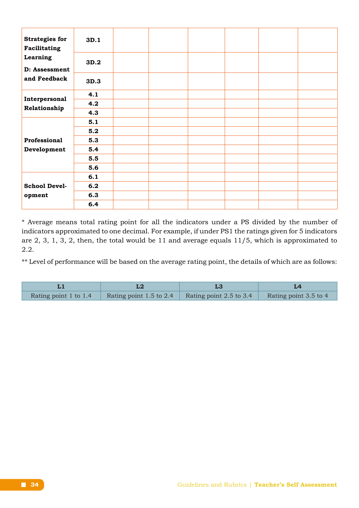| <b>Strategies for</b><br>Facilitating | 3D.1 |  |  |  |
|---------------------------------------|------|--|--|--|
| Learning<br>D: Assessment             | 3D.2 |  |  |  |
| and Feedback                          | 3D.3 |  |  |  |
| Interpersonal                         | 4.1  |  |  |  |
| Relationship                          | 4.2  |  |  |  |
|                                       | 4.3  |  |  |  |
|                                       | 5.1  |  |  |  |
|                                       | 5.2  |  |  |  |
| Professional                          | 5.3  |  |  |  |
| Development                           | 5.4  |  |  |  |
|                                       | 5.5  |  |  |  |
|                                       | 5.6  |  |  |  |
|                                       | 6.1  |  |  |  |
| <b>School Devel-</b>                  | 6.2  |  |  |  |
| opment                                | 6.3  |  |  |  |
|                                       | 6.4  |  |  |  |

\* Average means total rating point for all the indicators under a PS divided by the number of indicators approximated to one decimal. For example, if under PS1 the ratings given for 5 indicators are 2, 3, 1, 3, 2, then, the total would be 11 and average equals 11/5, which is approximated to 2.2.

\*\* Level of performance will be based on the average rating point, the details of which are as follows:

| Rating point 1 to 1.4 | Rating point 1.5 to 2.4 Rating point 2.5 to 3.4 | Rating point 3.5 to 4 |
|-----------------------|-------------------------------------------------|-----------------------|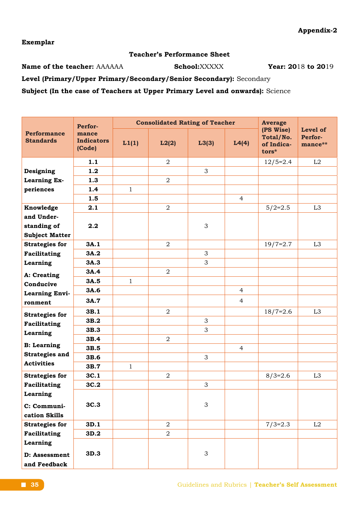**Exemplar**

#### **Teacher's Performance Sheet**

**Name of the teacher:** AAAAAA **School:**XXXXX **Year:** 2018 to 2019

**Level (Primary/Upper Primary/Secondary/Senior Secondary):** Secondary

**Subject (In the case of Teachers at Upper Primary Level and onwards):** Science

|                                        | Perfor-                              |              | <b>Consolidated Rating of Teacher</b> |       |                | <b>Average</b>                                |                                |
|----------------------------------------|--------------------------------------|--------------|---------------------------------------|-------|----------------|-----------------------------------------------|--------------------------------|
| <b>Performance</b><br><b>Standards</b> | mance<br><b>Indicators</b><br>(Code) | L1(1)        | L2(2)                                 | L3(3) | L4(4)          | (PS Wise)<br>Total/No.<br>of Indica-<br>tors* | Level of<br>Perfor-<br>mance** |
|                                        | 1.1                                  |              | $\overline{2}$                        |       |                | $12/5=2.4$                                    | L2                             |
| Designing                              | 1.2                                  |              |                                       | 3     |                |                                               |                                |
| Learning Ex-                           | 1.3                                  |              | $\overline{2}$                        |       |                |                                               |                                |
| periences                              | 1.4                                  | $\mathbf{1}$ |                                       |       |                |                                               |                                |
|                                        | 1.5                                  |              |                                       |       | $\overline{4}$ |                                               |                                |
| Knowledge                              | 2.1                                  |              | $\overline{2}$                        |       |                | $5/2=2.5$                                     | L <sub>3</sub>                 |
| and Under-                             |                                      |              |                                       |       |                |                                               |                                |
| standing of                            | 2.2                                  |              |                                       | 3     |                |                                               |                                |
| <b>Subject Matter</b>                  |                                      |              |                                       |       |                |                                               |                                |
| <b>Strategies for</b>                  | 3A.1                                 |              | $\overline{a}$                        |       |                | $19/7=2.7$                                    | L <sub>3</sub>                 |
| Facilitating                           | 3A.2                                 |              |                                       | 3     |                |                                               |                                |
| Learning                               | 3A.3                                 |              |                                       | 3     |                |                                               |                                |
| A: Creating                            | 3A.4                                 |              | $\overline{2}$                        |       |                |                                               |                                |
| Conducive                              | 3A.5                                 | $\mathbf{1}$ |                                       |       |                |                                               |                                |
| <b>Learning Envi-</b>                  | 3A.6                                 |              |                                       |       | $\overline{4}$ |                                               |                                |
| ronment                                | 3A.7                                 |              |                                       |       | 4              |                                               |                                |
| <b>Strategies for</b>                  | 3B.1                                 |              | $\overline{a}$                        |       |                | $18/7=2.6$                                    | L <sub>3</sub>                 |
| Facilitating                           | 3B.2                                 |              |                                       | 3     |                |                                               |                                |
| Learning                               | 3B.3                                 |              |                                       | 3     |                |                                               |                                |
|                                        | 3B.4                                 |              | $\overline{2}$                        |       |                |                                               |                                |
| <b>B:</b> Learning                     | 3B.5                                 |              |                                       |       | $\overline{4}$ |                                               |                                |
| <b>Strategies and</b>                  | 3B.6                                 |              |                                       | 3     |                |                                               |                                |
| <b>Activities</b>                      | 3B.7                                 | $\mathbf{1}$ |                                       |       |                |                                               |                                |
| <b>Strategies for</b>                  | 3C.1                                 |              | $\overline{a}$                        |       |                | $8/3=2.6$                                     | L <sub>3</sub>                 |
| Facilitating                           | 3C.2                                 |              |                                       | 3     |                |                                               |                                |
| Learning                               |                                      |              |                                       |       |                |                                               |                                |
| C: Communi-                            | 3C.3                                 |              |                                       | 3     |                |                                               |                                |
| cation Skills                          |                                      |              |                                       |       |                |                                               |                                |
| <b>Strategies for</b>                  | 3D.1                                 |              | $\overline{a}$                        |       |                | $7/3=2.3$                                     | L2                             |
| Facilitating                           | 3D.2                                 |              | $\overline{2}$                        |       |                |                                               |                                |
| Learning                               |                                      |              |                                       |       |                |                                               |                                |
| D: Assessment<br>and Feedback          | 3D.3                                 |              |                                       | 3     |                |                                               |                                |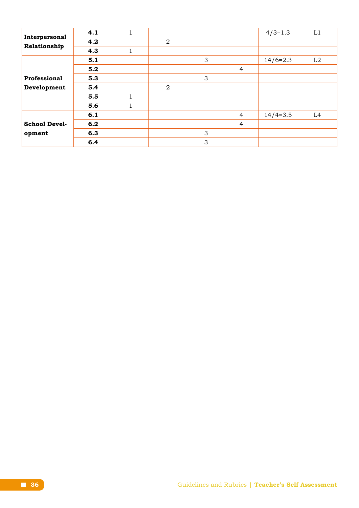|                      | 4.1 |              |                |   |                | $4/3=1.3$  | L1             |
|----------------------|-----|--------------|----------------|---|----------------|------------|----------------|
| Interpersonal        | 4.2 |              | $\overline{2}$ |   |                |            |                |
| Relationship         | 4.3 | $\mathbf{1}$ |                |   |                |            |                |
|                      | 5.1 |              |                | 3 |                | $14/6=2.3$ | L2             |
|                      | 5.2 |              |                |   | $\overline{4}$ |            |                |
| Professional         | 5.3 |              |                | 3 |                |            |                |
| Development          | 5.4 |              | $\overline{2}$ |   |                |            |                |
|                      | 5.5 |              |                |   |                |            |                |
|                      | 5.6 | $\mathbf 1$  |                |   |                |            |                |
|                      | 6.1 |              |                |   | $\overline{4}$ | $14/4=3.5$ | L <sub>4</sub> |
| <b>School Devel-</b> | 6.2 |              |                |   | $\overline{4}$ |            |                |
| opment               | 6.3 |              |                | 3 |                |            |                |
|                      | 6.4 |              |                | 3 |                |            |                |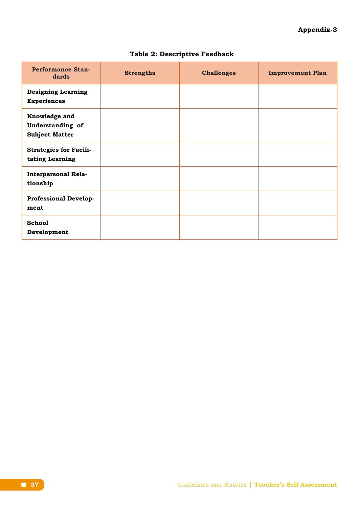# **Appendix-3**

| <b>Performance Stan-</b><br>dards                          | <b>Strengths</b> | <b>Challenges</b> | <b>Improvement Plan</b> |
|------------------------------------------------------------|------------------|-------------------|-------------------------|
| <b>Designing Learning</b><br><b>Experiences</b>            |                  |                   |                         |
| Knowledge and<br>Understanding of<br><b>Subject Matter</b> |                  |                   |                         |
| <b>Strategies for Facili-</b><br>tating Learning           |                  |                   |                         |
| <b>Interpersonal Rela-</b><br>tionship                     |                  |                   |                         |
| <b>Professional Develop-</b><br>ment                       |                  |                   |                         |
| <b>School</b><br>Development                               |                  |                   |                         |

# **Table 2: Descriptive Feedback**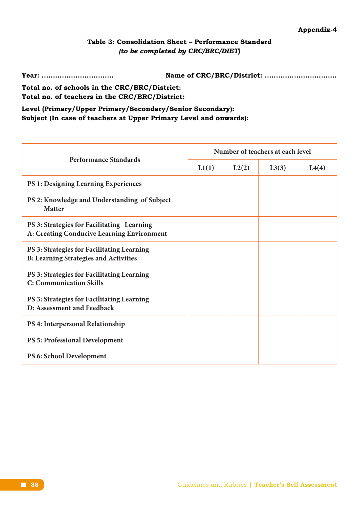# **Table 3: Consolidation Sheet – Performance Standard**  *(to be completed by CRC/BRC/DIET)*

**Year: ................................ Name of CRC/BRC/District: ................................**

**Total no. of schools in the CRC/BRC/District: Total no. of teachers in the CRC/BRC/District:** 

**Level (Primary/Upper Primary/Secondary/Senior Secondary): Subject (In case of teachers at Upper Primary Level and onwards):**

| <b>Performance Standards</b>                                                               | Number of teachers at each level |       |       |       |  |  |
|--------------------------------------------------------------------------------------------|----------------------------------|-------|-------|-------|--|--|
|                                                                                            | L1(1)                            | L2(2) | L3(3) | L4(4) |  |  |
| <b>PS 1: Designing Learning Experiences</b>                                                |                                  |       |       |       |  |  |
| PS 2: Knowledge and Understanding of Subject<br><b>Matter</b>                              |                                  |       |       |       |  |  |
| PS 3: Strategies for Facilitating Learning<br>A: Creating Conducive Learning Environment   |                                  |       |       |       |  |  |
| PS 3: Strategies for Facilitating Learning<br><b>B: Learning Strategies and Activities</b> |                                  |       |       |       |  |  |
| PS 3: Strategies for Facilitating Learning<br><b>C: Communication Skills</b>               |                                  |       |       |       |  |  |
| PS 3: Strategies for Facilitating Learning<br>D: Assessment and Feedback                   |                                  |       |       |       |  |  |
| PS 4: Interpersonal Relationship                                                           |                                  |       |       |       |  |  |
| <b>PS 5: Professional Development</b>                                                      |                                  |       |       |       |  |  |
| PS 6: School Development                                                                   |                                  |       |       |       |  |  |